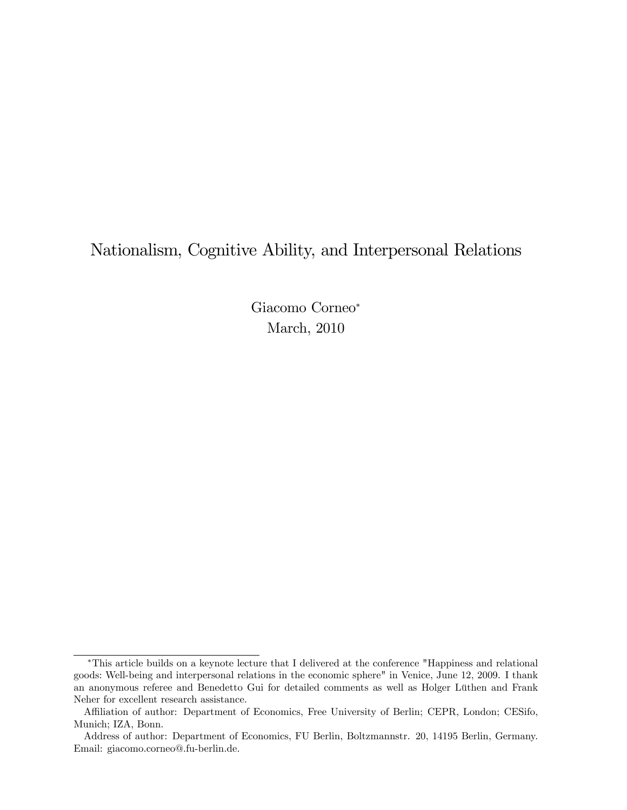# Nationalism, Cognitive Ability, and Interpersonal Relations

Giacomo Corneo March, 2010

This article builds on a keynote lecture that I delivered at the conference "Happiness and relational goods: Well-being and interpersonal relations in the economic sphere" in Venice, June 12, 2009. I thank an anonymous referee and Benedetto Gui for detailed comments as well as Holger Lüthen and Frank Neher for excellent research assistance.

Affiliation of author: Department of Economics, Free University of Berlin; CEPR, London; CESifo, Munich; IZA, Bonn.

Address of author: Department of Economics, FU Berlin, Boltzmannstr. 20, 14195 Berlin, Germany. Email: giacomo.corneo@.fu-berlin.de.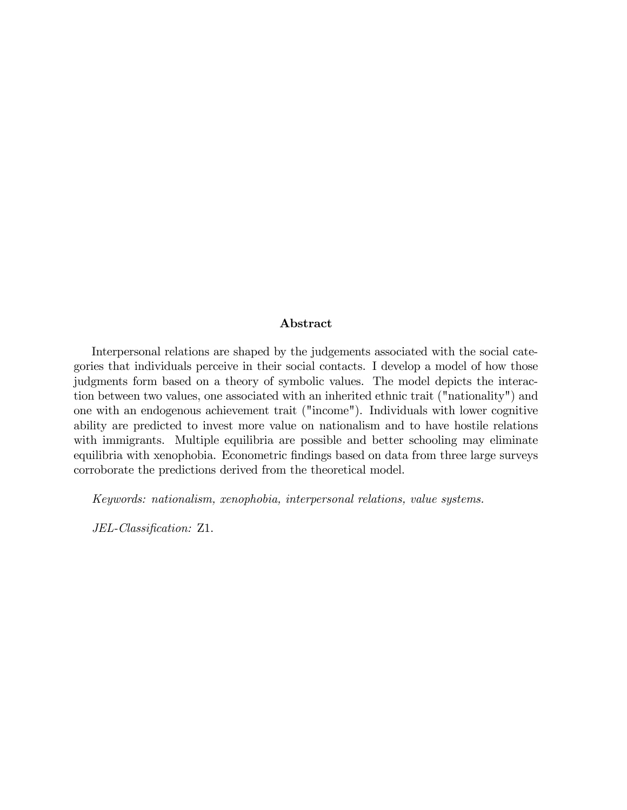#### Abstract

Interpersonal relations are shaped by the judgements associated with the social categories that individuals perceive in their social contacts. I develop a model of how those judgments form based on a theory of symbolic values. The model depicts the interaction between two values, one associated with an inherited ethnic trait ("nationality") and one with an endogenous achievement trait ("income"). Individuals with lower cognitive ability are predicted to invest more value on nationalism and to have hostile relations with immigrants. Multiple equilibria are possible and better schooling may eliminate equilibria with xenophobia. Econometric findings based on data from three large surveys corroborate the predictions derived from the theoretical model.

Keywords: nationalism, xenophobia, interpersonal relations, value systems.

JEL-Classification: Z1.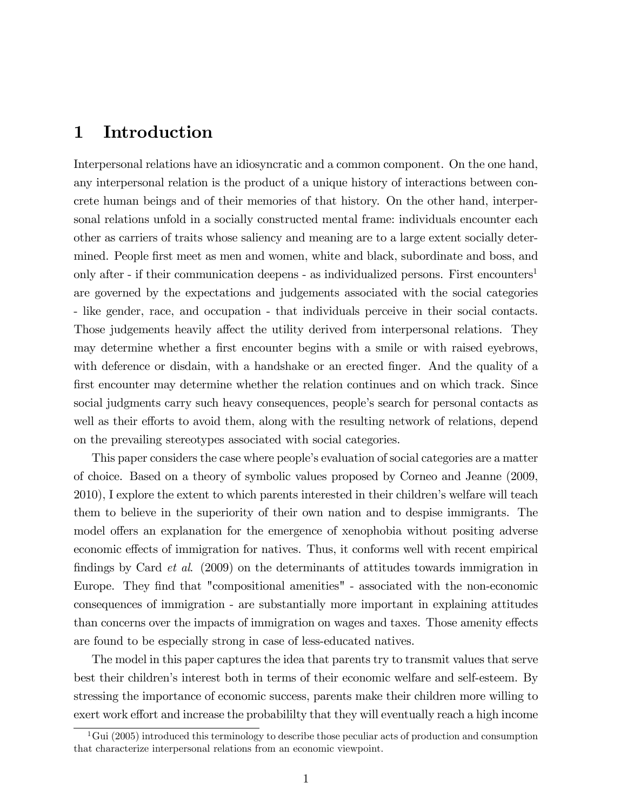## 1 Introduction

Interpersonal relations have an idiosyncratic and a common component. On the one hand, any interpersonal relation is the product of a unique history of interactions between concrete human beings and of their memories of that history. On the other hand, interpersonal relations unfold in a socially constructed mental frame: individuals encounter each other as carriers of traits whose saliency and meaning are to a large extent socially determined. People first meet as men and women, white and black, subordinate and boss, and only after - if their communication deepens - as individualized persons. First encounters<sup>1</sup> are governed by the expectations and judgements associated with the social categories - like gender, race, and occupation - that individuals perceive in their social contacts. Those judgements heavily affect the utility derived from interpersonal relations. They may determine whether a first encounter begins with a smile or with raised eyebrows, with deference or disdain, with a handshake or an erected finger. And the quality of a first encounter may determine whether the relation continues and on which track. Since social judgments carry such heavy consequences, people's search for personal contacts as well as their efforts to avoid them, along with the resulting network of relations, depend on the prevailing stereotypes associated with social categories.

This paper considers the case where people's evaluation of social categories are a matter of choice. Based on a theory of symbolic values proposed by Corneo and Jeanne (2009, 2010), I explore the extent to which parents interested in their children's welfare will teach them to believe in the superiority of their own nation and to despise immigrants. The model offers an explanation for the emergence of xenophobia without positing adverse economic effects of immigration for natives. Thus, it conforms well with recent empirical findings by Card  $et$  al. (2009) on the determinants of attitudes towards immigration in Europe. They find that "compositional amenities" - associated with the non-economic consequences of immigration - are substantially more important in explaining attitudes than concerns over the impacts of immigration on wages and taxes. Those amenity effects are found to be especially strong in case of less-educated natives.

The model in this paper captures the idea that parents try to transmit values that serve best their childrenís interest both in terms of their economic welfare and self-esteem. By stressing the importance of economic success, parents make their children more willing to exert work effort and increase the probabililty that they will eventually reach a high income

<sup>&</sup>lt;sup>1</sup>Gui (2005) introduced this terminology to describe those peculiar acts of production and consumption that characterize interpersonal relations from an economic viewpoint.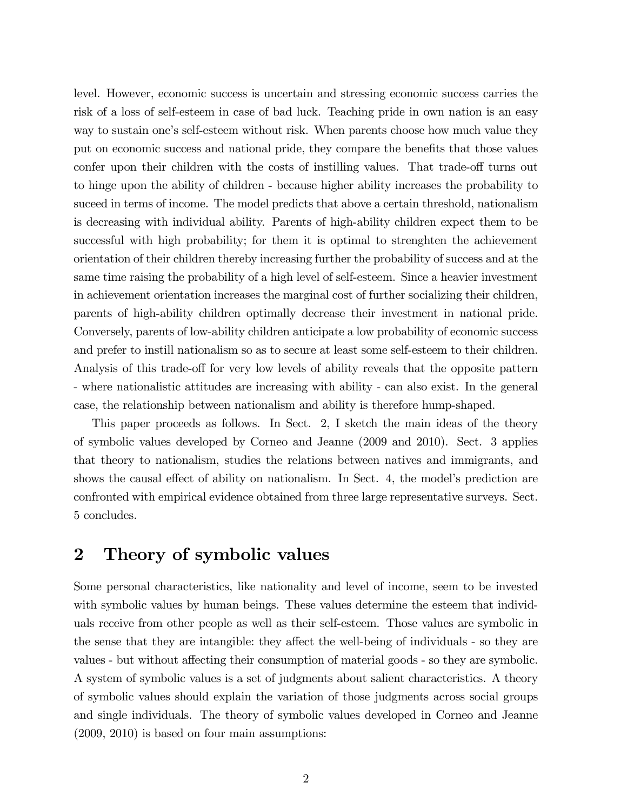level. However, economic success is uncertain and stressing economic success carries the risk of a loss of self-esteem in case of bad luck. Teaching pride in own nation is an easy way to sustain one's self-esteem without risk. When parents choose how much value they put on economic success and national pride, they compare the benefits that those values confer upon their children with the costs of instilling values. That trade-off turns out to hinge upon the ability of children - because higher ability increases the probability to suceed in terms of income. The model predicts that above a certain threshold, nationalism is decreasing with individual ability. Parents of high-ability children expect them to be successful with high probability; for them it is optimal to strenghten the achievement orientation of their children thereby increasing further the probability of success and at the same time raising the probability of a high level of self-esteem. Since a heavier investment in achievement orientation increases the marginal cost of further socializing their children, parents of high-ability children optimally decrease their investment in national pride. Conversely, parents of low-ability children anticipate a low probability of economic success and prefer to instill nationalism so as to secure at least some self-esteem to their children. Analysis of this trade-off for very low levels of ability reveals that the opposite pattern - where nationalistic attitudes are increasing with ability - can also exist. In the general case, the relationship between nationalism and ability is therefore hump-shaped.

This paper proceeds as follows. In Sect. 2, I sketch the main ideas of the theory of symbolic values developed by Corneo and Jeanne (2009 and 2010). Sect. 3 applies that theory to nationalism, studies the relations between natives and immigrants, and shows the causal effect of ability on nationalism. In Sect. 4, the model's prediction are confronted with empirical evidence obtained from three large representative surveys. Sect. 5 concludes.

## 2 Theory of symbolic values

Some personal characteristics, like nationality and level of income, seem to be invested with symbolic values by human beings. These values determine the esteem that individuals receive from other people as well as their self-esteem. Those values are symbolic in the sense that they are intangible: they affect the well-being of individuals - so they are values - but without affecting their consumption of material goods - so they are symbolic. A system of symbolic values is a set of judgments about salient characteristics. A theory of symbolic values should explain the variation of those judgments across social groups and single individuals. The theory of symbolic values developed in Corneo and Jeanne (2009, 2010) is based on four main assumptions: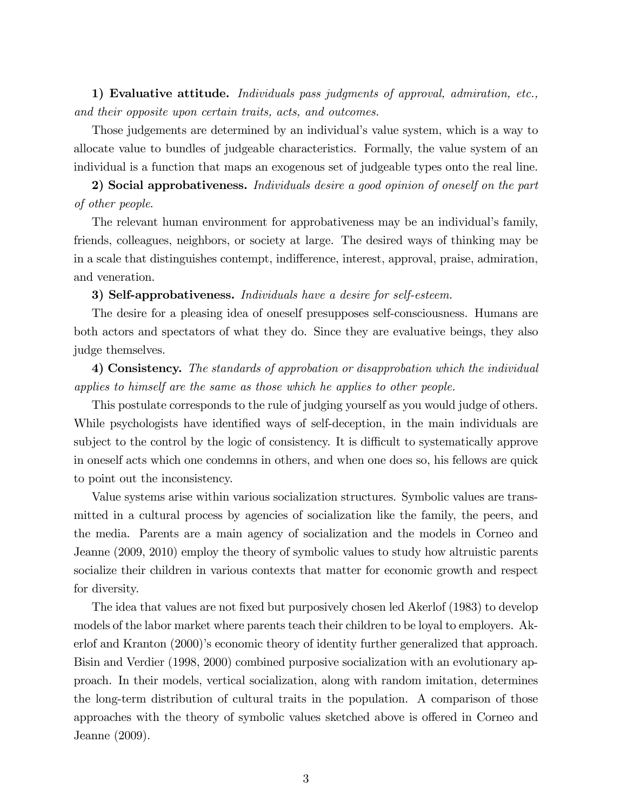1) Evaluative attitude. Individuals pass judgments of approval, admiration, etc., and their opposite upon certain traits, acts, and outcomes.

Those judgements are determined by an individual's value system, which is a way to allocate value to bundles of judgeable characteristics. Formally, the value system of an individual is a function that maps an exogenous set of judgeable types onto the real line.

2) Social approbativeness. Individuals desire a good opinion of oneself on the part of other people.

The relevant human environment for approbativeness may be an individual's family, friends, colleagues, neighbors, or society at large. The desired ways of thinking may be in a scale that distinguishes contempt, indifference, interest, approval, praise, admiration, and veneration.

3) Self-approbativeness. Individuals have a desire for self-esteem.

The desire for a pleasing idea of oneself presupposes self-consciousness. Humans are both actors and spectators of what they do. Since they are evaluative beings, they also judge themselves.

4) Consistency. The standards of approbation or disapprobation which the individual applies to himself are the same as those which he applies to other people.

This postulate corresponds to the rule of judging yourself as you would judge of others. While psychologists have identified ways of self-deception, in the main individuals are subject to the control by the logic of consistency. It is difficult to systematically approve in oneself acts which one condemns in others, and when one does so, his fellows are quick to point out the inconsistency.

Value systems arise within various socialization structures. Symbolic values are transmitted in a cultural process by agencies of socialization like the family, the peers, and the media. Parents are a main agency of socialization and the models in Corneo and Jeanne (2009, 2010) employ the theory of symbolic values to study how altruistic parents socialize their children in various contexts that matter for economic growth and respect for diversity.

The idea that values are not fixed but purposively chosen led Akerlof (1983) to develop models of the labor market where parents teach their children to be loyal to employers. Akerlof and Kranton (2000)'s economic theory of identity further generalized that approach. Bisin and Verdier (1998, 2000) combined purposive socialization with an evolutionary approach. In their models, vertical socialization, along with random imitation, determines the long-term distribution of cultural traits in the population. A comparison of those approaches with the theory of symbolic values sketched above is offered in Corneo and Jeanne (2009).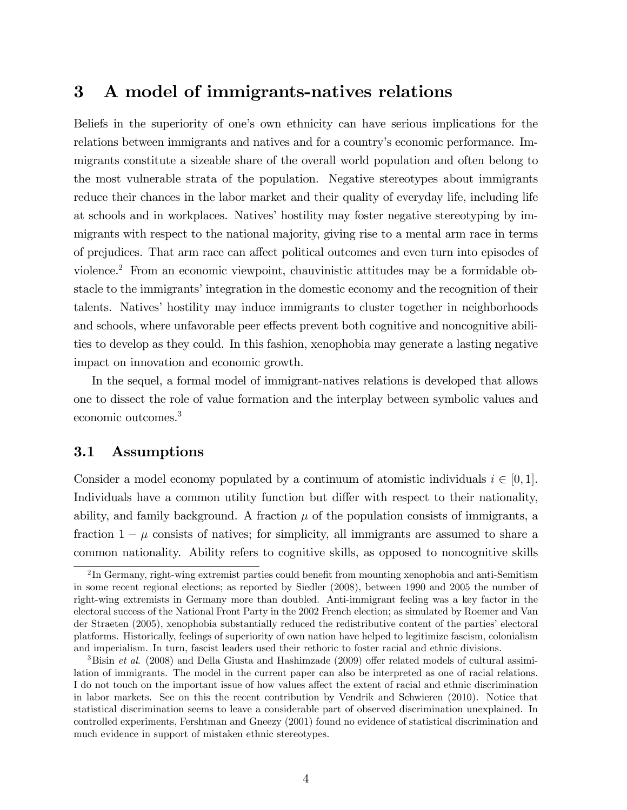## 3 A model of immigrants-natives relations

Beliefs in the superiority of one's own ethnicity can have serious implications for the relations between immigrants and natives and for a country's economic performance. Immigrants constitute a sizeable share of the overall world population and often belong to the most vulnerable strata of the population. Negative stereotypes about immigrants reduce their chances in the labor market and their quality of everyday life, including life at schools and in workplaces. Natives' hostility may foster negative stereotyping by immigrants with respect to the national majority, giving rise to a mental arm race in terms of prejudices. That arm race can affect political outcomes and even turn into episodes of violence.<sup>2</sup> From an economic viewpoint, chauvinistic attitudes may be a formidable obstacle to the immigrants' integration in the domestic economy and the recognition of their talents. Natives' hostility may induce immigrants to cluster together in neighborhoods and schools, where unfavorable peer effects prevent both cognitive and noncognitive abilities to develop as they could. In this fashion, xenophobia may generate a lasting negative impact on innovation and economic growth.

In the sequel, a formal model of immigrant-natives relations is developed that allows one to dissect the role of value formation and the interplay between symbolic values and economic outcomes.<sup>3</sup>

### 3.1 Assumptions

Consider a model economy populated by a continuum of atomistic individuals  $i \in [0, 1]$ . Individuals have a common utility function but differ with respect to their nationality, ability, and family background. A fraction  $\mu$  of the population consists of immigrants, a fraction  $1 - \mu$  consists of natives; for simplicity, all immigrants are assumed to share a common nationality. Ability refers to cognitive skills, as opposed to noncognitive skills

 ${}^{2}$ In Germany, right-wing extremist parties could benefit from mounting xenophobia and anti-Semitism in some recent regional elections; as reported by Siedler (2008), between 1990 and 2005 the number of right-wing extremists in Germany more than doubled. Anti-immigrant feeling was a key factor in the electoral success of the National Front Party in the 2002 French election; as simulated by Roemer and Van der Straeten (2005), xenophobia substantially reduced the redistributive content of the parties' electoral platforms. Historically, feelings of superiority of own nation have helped to legitimize fascism, colonialism and imperialism. In turn, fascist leaders used their rethoric to foster racial and ethnic divisions.

<sup>&</sup>lt;sup>3</sup>Bisin *et al.* (2008) and Della Giusta and Hashimzade (2009) offer related models of cultural assimilation of immigrants. The model in the current paper can also be interpreted as one of racial relations. I do not touch on the important issue of how values affect the extent of racial and ethnic discrimination in labor markets. See on this the recent contribution by Vendrik and Schwieren (2010). Notice that statistical discrimination seems to leave a considerable part of observed discrimination unexplained. In controlled experiments, Fershtman and Gneezy (2001) found no evidence of statistical discrimination and much evidence in support of mistaken ethnic stereotypes.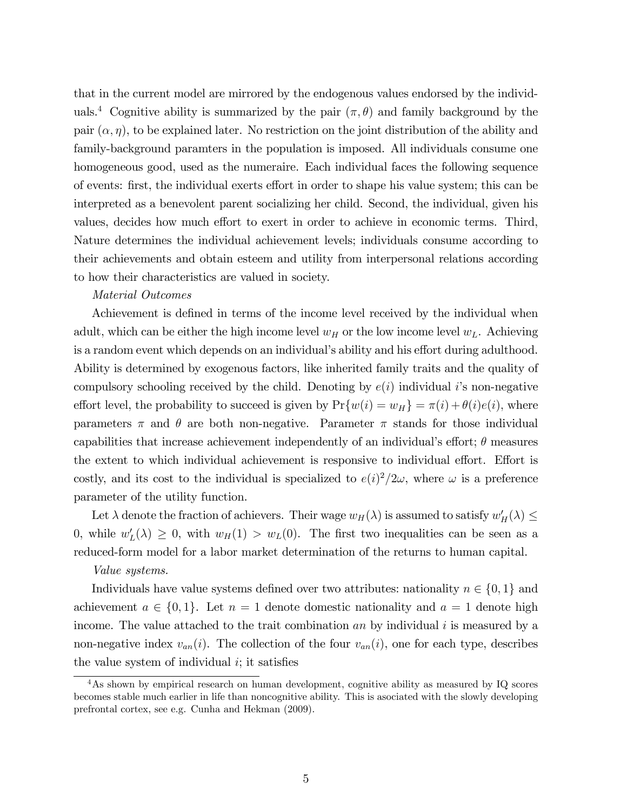that in the current model are mirrored by the endogenous values endorsed by the individuals.<sup>4</sup> Cognitive ability is summarized by the pair  $(\pi, \theta)$  and family background by the pair  $(\alpha, \eta)$ , to be explained later. No restriction on the joint distribution of the ability and family-background paramters in the population is imposed. All individuals consume one homogeneous good, used as the numeraire. Each individual faces the following sequence of events: first, the individual exerts effort in order to shape his value system; this can be interpreted as a benevolent parent socializing her child. Second, the individual, given his values, decides how much effort to exert in order to achieve in economic terms. Third, Nature determines the individual achievement levels; individuals consume according to their achievements and obtain esteem and utility from interpersonal relations according to how their characteristics are valued in society.

#### Material Outcomes

Achievement is defined in terms of the income level received by the individual when adult, which can be either the high income level  $w_H$  or the low income level  $w_L$ . Achieving is a random event which depends on an individual's ability and his effort during adulthood. Ability is determined by exogenous factors, like inherited family traits and the quality of compulsory schooling received by the child. Denoting by  $e(i)$  individual is non-negative effort level, the probability to succeed is given by  $Pr\{w(i) = w_H\} = \pi(i) + \theta(i)e(i)$ , where parameters  $\pi$  and  $\theta$  are both non-negative. Parameter  $\pi$  stands for those individual capabilities that increase achievement independently of an individual's effort;  $\theta$  measures the extent to which individual achievement is responsive to individual effort. Effort is costly, and its cost to the individual is specialized to  $e(i)^2/2\omega$ , where  $\omega$  is a preference parameter of the utility function.

Let  $\lambda$  denote the fraction of achievers. Their wage  $w_H(\lambda)$  is assumed to satisfy  $w'_H(\lambda) \leq$ 0, while  $w'_L(\lambda) \geq 0$ , with  $w_H(1) > w_L(0)$ . The first two inequalities can be seen as a reduced-form model for a labor market determination of the returns to human capital.

#### Value systems.

Individuals have value systems defined over two attributes: nationality  $n \in \{0, 1\}$  and achievement  $a \in \{0, 1\}$ . Let  $n = 1$  denote domestic nationality and  $a = 1$  denote high income. The value attached to the trait combination an by individual i is measured by a non-negative index  $v_{an}(i)$ . The collection of the four  $v_{an}(i)$ , one for each type, describes the value system of individual  $i$ ; it satisfies

<sup>&</sup>lt;sup>4</sup>As shown by empirical research on human development, cognitive ability as measured by IQ scores becomes stable much earlier in life than noncognitive ability. This is asociated with the slowly developing prefrontal cortex, see e.g. Cunha and Hekman (2009).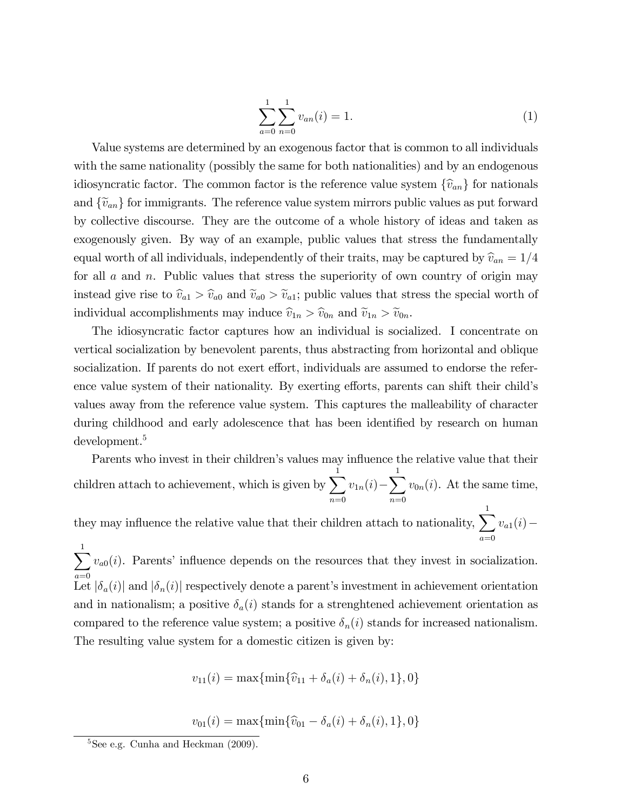$$
\sum_{a=0}^{1} \sum_{n=0}^{1} v_{an}(i) = 1.
$$
 (1)

Value systems are determined by an exogenous factor that is common to all individuals with the same nationality (possibly the same for both nationalities) and by an endogenous idiosyncratic factor. The common factor is the reference value system  $\{\widehat{v}_{an}\}$  for nationals and  $\{\tilde{v}_{an}\}$  for immigrants. The reference value system mirrors public values as put forward by collective discourse. They are the outcome of a whole history of ideas and taken as exogenously given. By way of an example, public values that stress the fundamentally equal worth of all individuals, independently of their traits, may be captured by  $\hat{v}_{an} = 1/4$ for all  $a$  and  $n$ . Public values that stress the superiority of own country of origin may instead give rise to  $\hat{v}_{a1} > \hat{v}_{a0}$  and  $\tilde{v}_{a0} > \tilde{v}_{a1}$ ; public values that stress the special worth of individual accomplishments may induce  $\hat{v}_{1n} > \hat{v}_{0n}$  and  $\tilde{v}_{1n} > \tilde{v}_{0n}$ .

The idiosyncratic factor captures how an individual is socialized. I concentrate on vertical socialization by benevolent parents, thus abstracting from horizontal and oblique socialization. If parents do not exert effort, individuals are assumed to endorse the reference value system of their nationality. By exerting efforts, parents can shift their child's values away from the reference value system. This captures the malleability of character during childhood and early adolescence that has been identified by research on human development.<sup>5</sup>

Parents who invest in their children's values may influence the relative value that their children attach to achievement, which is given by  $\sum_{n=1}^{\infty}$  $n=0$  $v_{1n}(i) - \sum^{1}$  $n=0$  $v_{0n}(i)$ . At the same time,

they may influence the relative value that their children attach to nationality,  $\sum_{n=1}^{n}$  $a=0$  $v_{a1}(i) -$ 

 $\sum$  $a=0$  $v_{a0}(i)$ . Parents' influence depends on the resources that they invest in socialization. Let  $|\delta_a(i)|$  and  $|\delta_n(i)|$  respectively denote a parent's investment in achievement orientation and in nationalism; a positive  $\delta_a(i)$  stands for a strenghtened achievement orientation as compared to the reference value system; a positive  $\delta_n(i)$  stands for increased nationalism. The resulting value system for a domestic citizen is given by:

$$
v_{11}(i) = \max\{\min\{\hat{v}_{11} + \delta_a(i) + \delta_n(i), 1\}, 0\}
$$

 $v_{01}(i) = \max\{\min\{\widehat{v}_{01} - \delta_a(i) + \delta_n(i), 1\}, 0\}$ 

 $5$ See e.g. Cunha and Heckman  $(2009)$ .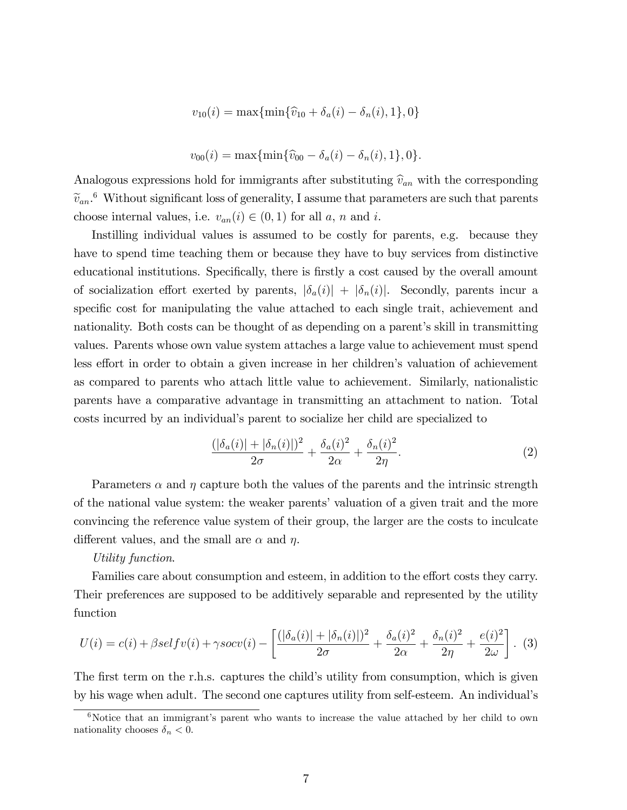$$
v_{10}(i) = \max\{\min\{\widehat{v}_{10} + \delta_a(i) - \delta_n(i), 1\}, 0\}
$$

$$
v_{00}(i) = \max\{\min\{\hat{v}_{00} - \delta_a(i) - \delta_n(i), 1\}, 0\}.
$$

Analogous expressions hold for immigrants after substituting  $\hat{v}_{an}$  with the corresponding  $\widetilde{v}_{an}$ <sup>6</sup> Without significant loss of generality, I assume that parameters are such that parents choose internal values, i.e.  $v_{an}(i) \in (0, 1)$  for all a, n and i.

Instilling individual values is assumed to be costly for parents, e.g. because they have to spend time teaching them or because they have to buy services from distinctive educational institutions. Specifically, there is firstly a cost caused by the overall amount of socialization effort exerted by parents,  $|\delta_a(i)| + |\delta_n(i)|$ . Secondly, parents incur a specific cost for manipulating the value attached to each single trait, achievement and nationality. Both costs can be thought of as depending on a parent's skill in transmitting values. Parents whose own value system attaches a large value to achievement must spend less effort in order to obtain a given increase in her children's valuation of achievement as compared to parents who attach little value to achievement. Similarly, nationalistic parents have a comparative advantage in transmitting an attachment to nation. Total costs incurred by an individualís parent to socialize her child are specialized to

$$
\frac{(|\delta_a(i)| + |\delta_n(i)|)^2}{2\sigma} + \frac{\delta_a(i)^2}{2\alpha} + \frac{\delta_n(i)^2}{2\eta}.
$$
 (2)

Parameters  $\alpha$  and  $\eta$  capture both the values of the parents and the intrinsic strength of the national value system: the weaker parents' valuation of a given trait and the more convincing the reference value system of their group, the larger are the costs to inculcate different values, and the small are  $\alpha$  and  $\eta$ .

#### Utility function.

Families care about consumption and esteem, in addition to the effort costs they carry. Their preferences are supposed to be additively separable and represented by the utility function

$$
U(i) = c(i) + \beta \operatorname{self}v(i) + \gamma \operatorname{soc}v(i) - \left[ \frac{(|\delta_a(i)| + |\delta_n(i)|)^2}{2\sigma} + \frac{\delta_a(i)^2}{2\alpha} + \frac{\delta_n(i)^2}{2\eta} + \frac{e(i)^2}{2\omega} \right].
$$
 (3)

The first term on the r.h.s. captures the child's utility from consumption, which is given by his wage when adult. The second one captures utility from self-esteem. An individualís

 $6$ Notice that an immigrant's parent who wants to increase the value attached by her child to own nationality chooses  $\delta_n < 0$ .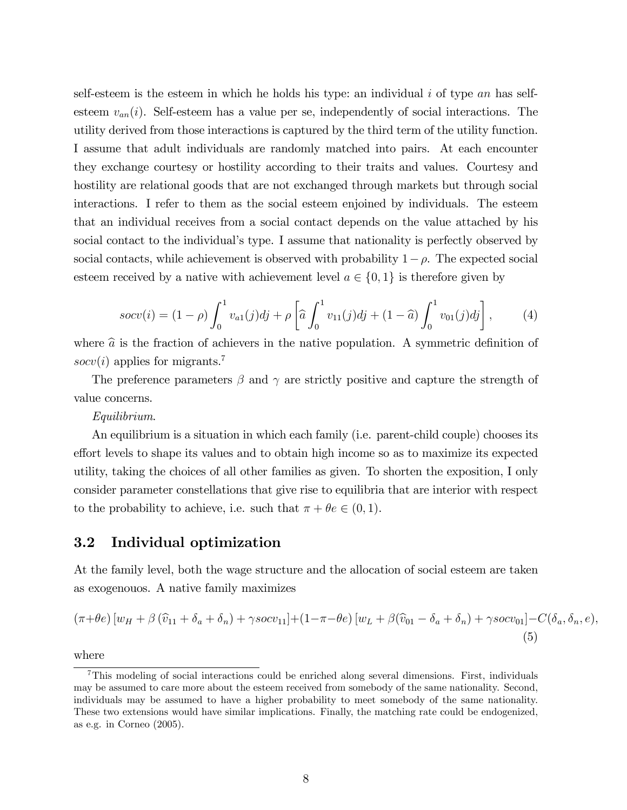self-esteem is the esteem in which he holds his type: an individual  $i$  of type an has selfesteem  $v_{an}(i)$ . Self-esteem has a value per se, independently of social interactions. The utility derived from those interactions is captured by the third term of the utility function. I assume that adult individuals are randomly matched into pairs. At each encounter they exchange courtesy or hostility according to their traits and values. Courtesy and hostility are relational goods that are not exchanged through markets but through social interactions. I refer to them as the social esteem enjoined by individuals. The esteem that an individual receives from a social contact depends on the value attached by his social contact to the individual's type. I assume that nationality is perfectly observed by social contacts, while achievement is observed with probability  $1-\rho$ . The expected social esteem received by a native with achievement level  $a \in \{0, 1\}$  is therefore given by

$$
socv(i) = (1 - \rho) \int_0^1 v_{a1}(j)dj + \rho \left[ \hat{a} \int_0^1 v_{11}(j)dj + (1 - \hat{a}) \int_0^1 v_{01}(j)dj \right],
$$
 (4)

where  $\hat{a}$  is the fraction of achievers in the native population. A symmetric definition of  $socv(i)$  applies for migrants.<sup>7</sup>

The preference parameters  $\beta$  and  $\gamma$  are strictly positive and capture the strength of value concerns.

Equilibrium.

An equilibrium is a situation in which each family (i.e. parent-child couple) chooses its effort levels to shape its values and to obtain high income so as to maximize its expected utility, taking the choices of all other families as given. To shorten the exposition, I only consider parameter constellations that give rise to equilibria that are interior with respect to the probability to achieve, i.e. such that  $\pi + \theta e \in (0, 1)$ .

#### 3.2 Individual optimization

At the family level, both the wage structure and the allocation of social esteem are taken as exogenouos. A native family maximizes

$$
(\pi + \theta e) [w_H + \beta (\widehat{v}_{11} + \delta_a + \delta_n) + \gamma s o c v_{11}] + (1 - \pi - \theta e) [w_L + \beta (\widehat{v}_{01} - \delta_a + \delta_n) + \gamma s o c v_{01}] - C(\delta_a, \delta_n, e),
$$
\n(5)

where

<sup>7</sup>This modeling of social interactions could be enriched along several dimensions. First, individuals may be assumed to care more about the esteem received from somebody of the same nationality. Second, individuals may be assumed to have a higher probability to meet somebody of the same nationality. These two extensions would have similar implications. Finally, the matching rate could be endogenized, as e.g. in Corneo (2005).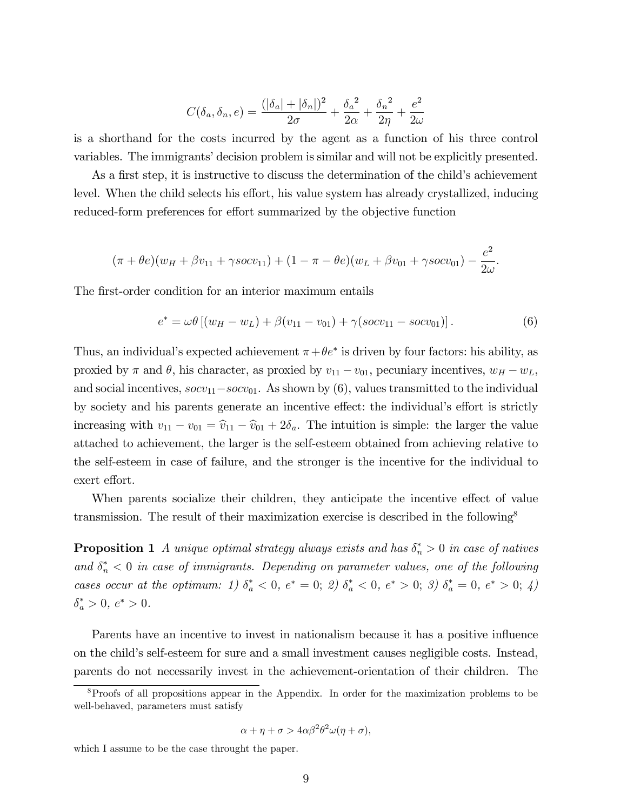$$
C(\delta_a, \delta_n, e) = \frac{(|\delta_a| + |\delta_n|)^2}{2\sigma} + \frac{\delta_a^2}{2\alpha} + \frac{\delta_n^2}{2\eta} + \frac{e^2}{2\omega}
$$

is a shorthand for the costs incurred by the agent as a function of his three control variables. The immigrants' decision problem is similar and will not be explicitly presented.

As a first step, it is instructive to discuss the determination of the child's achievement level. When the child selects his effort, his value system has already crystallized, inducing reduced-form preferences for effort summarized by the objective function

$$
(\pi + \theta e)(w_H + \beta v_{11} + \gamma s o c v_{11}) + (1 - \pi - \theta e)(w_L + \beta v_{01} + \gamma s o c v_{01}) - \frac{e^2}{2\omega}.
$$

The first-order condition for an interior maximum entails

$$
e^* = \omega \theta \left[ (w_H - w_L) + \beta (v_{11} - v_{01}) + \gamma (socv_{11} - socv_{01}) \right]. \tag{6}
$$

Thus, an individual's expected achievement  $\pi + \theta e^*$  is driven by four factors: his ability, as proxied by  $\pi$  and  $\theta$ , his character, as proxied by  $v_{11} - v_{01}$ , pecuniary incentives,  $w_H - w_L$ , and social incentives,  $\sec v_{11} - \sec v_{01}$ . As shown by (6), values transmitted to the individual by society and his parents generate an incentive effect: the individual's effort is strictly increasing with  $v_{11} - v_{01} = \hat{v}_{11} - \hat{v}_{01} + 2\delta_a$ . The intuition is simple: the larger the value attached to achievement, the larger is the self-esteem obtained from achieving relative to the self-esteem in case of failure, and the stronger is the incentive for the individual to exert effort.

When parents socialize their children, they anticipate the incentive effect of value transmission. The result of their maximization exercise is described in the following<sup>8</sup>

**Proposition 1** A unique optimal strategy always exists and has  $\delta_n^* > 0$  in case of natives and  $\delta_n^*$  < 0 in case of immigrants. Depending on parameter values, one of the following cases occur at the optimum: 1)  $\delta_a^* < 0$ ,  $e^* = 0$ ; 2)  $\delta_a^* < 0$ ,  $e^* > 0$ ; 3)  $\delta_a^* = 0$ ,  $e^* > 0$ ; 4)  $\delta_a^* > 0, e^* > 0.$ 

Parents have an incentive to invest in nationalism because it has a positive influence on the childís self-esteem for sure and a small investment causes negligible costs. Instead, parents do not necessarily invest in the achievement-orientation of their children. The

$$
\alpha + \eta + \sigma > 4\alpha\beta^2\theta^2\omega(\eta + \sigma),
$$

<sup>8</sup>Proofs of all propositions appear in the Appendix. In order for the maximization problems to be well-behaved, parameters must satisfy

which I assume to be the case throught the paper.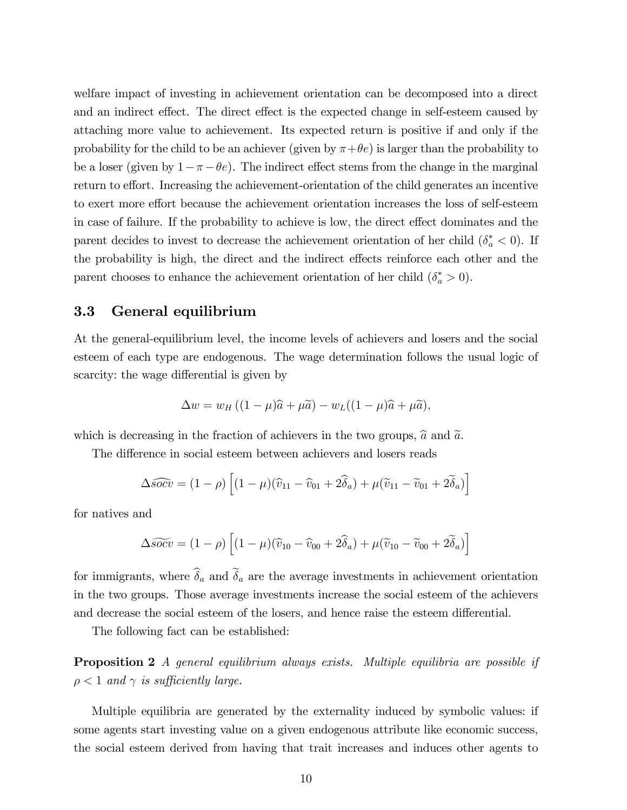welfare impact of investing in achievement orientation can be decomposed into a direct and an indirect effect. The direct effect is the expected change in self-esteem caused by attaching more value to achievement. Its expected return is positive if and only if the probability for the child to be an achiever (given by  $\pi + \theta e$ ) is larger than the probability to be a loser (given by  $1 - \pi - \theta e$ ). The indirect effect stems from the change in the marginal return to effort. Increasing the achievement-orientation of the child generates an incentive to exert more effort because the achievement orientation increases the loss of self-esteem in case of failure. If the probability to achieve is low, the direct effect dominates and the parent decides to invest to decrease the achievement orientation of her child  $(\delta_a^* < 0)$ . If the probability is high, the direct and the indirect effects reinforce each other and the parent chooses to enhance the achievement orientation of her child  $(\delta_a^* > 0)$ .

### 3.3 General equilibrium

At the general-equilibrium level, the income levels of achievers and losers and the social esteem of each type are endogenous. The wage determination follows the usual logic of scarcity: the wage differential is given by

$$
\Delta w = w_H ((1 - \mu)\widehat{a} + \mu \widehat{a}) - w_L ((1 - \mu)\widehat{a} + \mu \widehat{a}),
$$

which is decreasing in the fraction of achievers in the two groups,  $\hat{a}$  and  $\tilde{a}$ .

The difference in social esteem between achievers and losers reads

$$
\Delta \widehat{socv} = (1 - \rho) \left[ (1 - \mu)(\widehat{v}_{11} - \widehat{v}_{01} + 2\widehat{\delta}_a) + \mu(\widetilde{v}_{11} - \widetilde{v}_{01} + 2\widetilde{\delta}_a) \right]
$$

for natives and

$$
\Delta \widetilde{socv} = (1 - \rho) \left[ (1 - \mu)(\widehat{v}_{10} - \widehat{v}_{00} + 2\widehat{\delta}_a) + \mu(\widetilde{v}_{10} - \widetilde{v}_{00} + 2\widetilde{\delta}_a) \right]
$$

for immigrants, where  $\hat{\delta}_a$  and  $\tilde{\delta}_a$  are the average investments in achievement orientation in the two groups. Those average investments increase the social esteem of the achievers and decrease the social esteem of the losers, and hence raise the esteem differential.

The following fact can be established:

**Proposition 2** A general equilibrium always exists. Multiple equilibria are possible if  $\rho < 1$  and  $\gamma$  is sufficiently large.

Multiple equilibria are generated by the externality induced by symbolic values: if some agents start investing value on a given endogenous attribute like economic success, the social esteem derived from having that trait increases and induces other agents to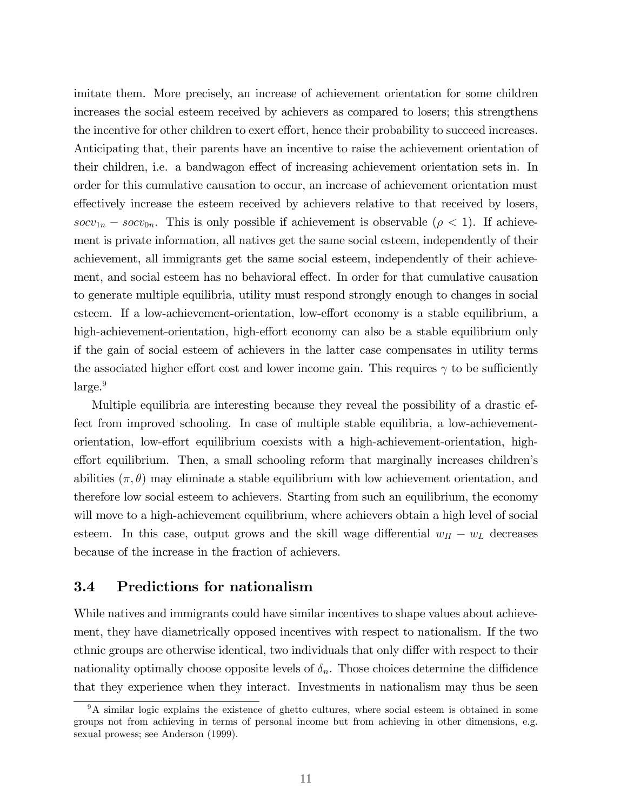imitate them. More precisely, an increase of achievement orientation for some children increases the social esteem received by achievers as compared to losers; this strengthens the incentive for other children to exert effort, hence their probability to succeed increases. Anticipating that, their parents have an incentive to raise the achievement orientation of their children, i.e. a bandwagon effect of increasing achievement orientation sets in. In order for this cumulative causation to occur, an increase of achievement orientation must effectively increase the esteem received by achievers relative to that received by losers, socv<sub>1n</sub> – socv<sub>0n</sub>. This is only possible if achievement is observable ( $\rho$  < 1). If achievement is private information, all natives get the same social esteem, independently of their achievement, all immigrants get the same social esteem, independently of their achievement, and social esteem has no behavioral effect. In order for that cumulative causation to generate multiple equilibria, utility must respond strongly enough to changes in social esteem. If a low-achievement-orientation, low-effort economy is a stable equilibrium, a high-achievement-orientation, high-effort economy can also be a stable equilibrium only if the gain of social esteem of achievers in the latter case compensates in utility terms the associated higher effort cost and lower income gain. This requires  $\gamma$  to be sufficiently  $\rm large.^9$ 

Multiple equilibria are interesting because they reveal the possibility of a drastic effect from improved schooling. In case of multiple stable equilibria, a low-achievementorientation, low-effort equilibrium coexists with a high-achievement-orientation, higheffort equilibrium. Then, a small schooling reform that marginally increases children's abilities  $(\pi, \theta)$  may eliminate a stable equilibrium with low achievement orientation, and therefore low social esteem to achievers. Starting from such an equilibrium, the economy will move to a high-achievement equilibrium, where achievers obtain a high level of social esteem. In this case, output grows and the skill wage differential  $w_H - w_L$  decreases because of the increase in the fraction of achievers.

### 3.4 Predictions for nationalism

While natives and immigrants could have similar incentives to shape values about achievement, they have diametrically opposed incentives with respect to nationalism. If the two ethnic groups are otherwise identical, two individuals that only differ with respect to their nationality optimally choose opposite levels of  $\delta_n$ . Those choices determine the diffidence that they experience when they interact. Investments in nationalism may thus be seen

<sup>&</sup>lt;sup>9</sup>A similar logic explains the existence of ghetto cultures, where social esteem is obtained in some groups not from achieving in terms of personal income but from achieving in other dimensions, e.g. sexual prowess; see Anderson (1999).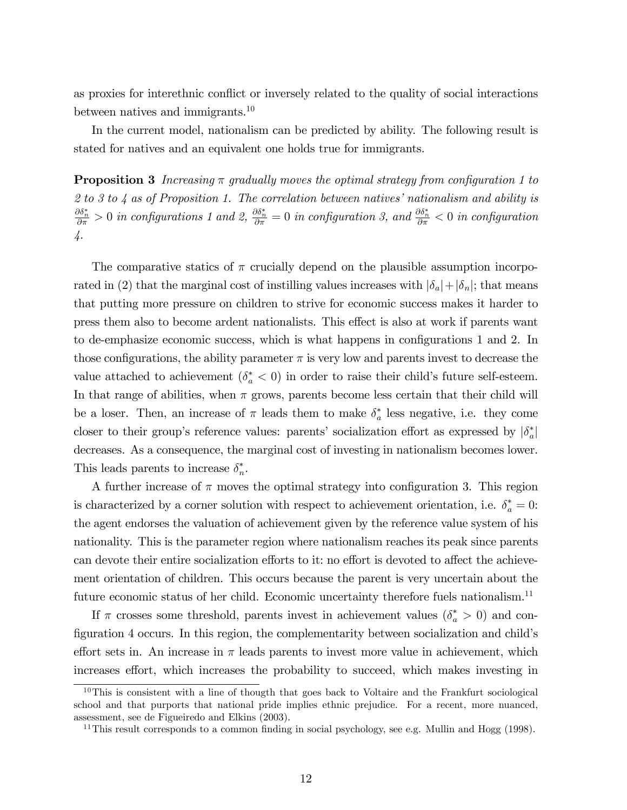as proxies for interethnic conflict or inversely related to the quality of social interactions between natives and immigrants.<sup>10</sup>

In the current model, nationalism can be predicted by ability. The following result is stated for natives and an equivalent one holds true for immigrants.

**Proposition 3** Increasing  $\pi$  gradually moves the optimal strategy from configuration 1 to 2 to 3 to 4 as of Proposition 1. The correlation between natives' nationalism and ability is  $\frac{\partial \delta_n^*}{\partial \pi} > 0$  in configurations 1 and 2,  $\frac{\partial \delta_n^*}{\partial \pi} = 0$  in configuration 3, and  $\frac{\partial \delta_n^*}{\partial \pi} < 0$  in configuration 4.

The comparative statics of  $\pi$  crucially depend on the plausible assumption incorporated in (2) that the marginal cost of instilling values increases with  $|\delta_a|+|\delta_n|$ ; that means that putting more pressure on children to strive for economic success makes it harder to press them also to become ardent nationalists. This effect is also at work if parents want to de-emphasize economic success, which is what happens in configurations 1 and 2. In those configurations, the ability parameter  $\pi$  is very low and parents invest to decrease the value attached to achievement  $(\delta_a^* < 0)$  in order to raise their child's future self-esteem. In that range of abilities, when  $\pi$  grows, parents become less certain that their child will be a loser. Then, an increase of  $\pi$  leads them to make  $\delta_a^*$  less negative, i.e. they come closer to their group's reference values: parents' socialization effort as expressed by  $|\delta_a^*|$ decreases. As a consequence, the marginal cost of investing in nationalism becomes lower. This leads parents to increase  $\delta_n^*$ .

A further increase of  $\pi$  moves the optimal strategy into configuration 3. This region is characterized by a corner solution with respect to achievement orientation, i.e.  $\delta_a^* = 0$ : the agent endorses the valuation of achievement given by the reference value system of his nationality. This is the parameter region where nationalism reaches its peak since parents can devote their entire socialization efforts to it: no effort is devoted to affect the achievement orientation of children. This occurs because the parent is very uncertain about the future economic status of her child. Economic uncertainty therefore fuels nationalism.<sup>11</sup>

If  $\pi$  crosses some threshold, parents invest in achievement values  $(\delta_a^* > 0)$  and configuration 4 occurs. In this region, the complementarity between socialization and child's effort sets in. An increase in  $\pi$  leads parents to invest more value in achievement, which increases effort, which increases the probability to succeed, which makes investing in

 $10$ This is consistent with a line of thougth that goes back to Voltaire and the Frankfurt sociological school and that purports that national pride implies ethnic prejudice. For a recent, more nuanced, assessment, see de Figueiredo and Elkins (2003).

<sup>&</sup>lt;sup>11</sup>This result corresponds to a common finding in social psychology, see e.g. Mullin and Hogg (1998).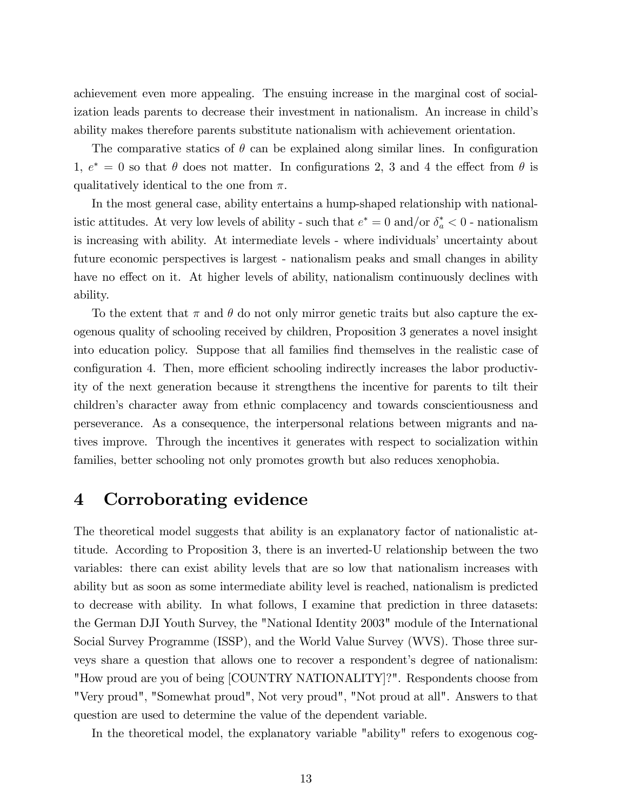achievement even more appealing. The ensuing increase in the marginal cost of socialization leads parents to decrease their investment in nationalism. An increase in child's ability makes therefore parents substitute nationalism with achievement orientation.

The comparative statics of  $\theta$  can be explained along similar lines. In configuration 1,  $e^* = 0$  so that  $\theta$  does not matter. In configurations 2, 3 and 4 the effect from  $\theta$  is qualitatively identical to the one from  $\pi$ .

In the most general case, ability entertains a hump-shaped relationship with nationalistic attitudes. At very low levels of ability - such that  $e^* = 0$  and/or  $\delta_a^* < 0$  - nationalism is increasing with ability. At intermediate levels - where individuals' uncertainty about future economic perspectives is largest - nationalism peaks and small changes in ability have no effect on it. At higher levels of ability, nationalism continuously declines with ability.

To the extent that  $\pi$  and  $\theta$  do not only mirror genetic traits but also capture the exogenous quality of schooling received by children, Proposition 3 generates a novel insight into education policy. Suppose that all families find themselves in the realistic case of configuration 4. Then, more efficient schooling indirectly increases the labor productivity of the next generation because it strengthens the incentive for parents to tilt their children's character away from ethnic complacency and towards conscientiousness and perseverance. As a consequence, the interpersonal relations between migrants and natives improve. Through the incentives it generates with respect to socialization within families, better schooling not only promotes growth but also reduces xenophobia.

## 4 Corroborating evidence

The theoretical model suggests that ability is an explanatory factor of nationalistic attitude. According to Proposition 3, there is an inverted-U relationship between the two variables: there can exist ability levels that are so low that nationalism increases with ability but as soon as some intermediate ability level is reached, nationalism is predicted to decrease with ability. In what follows, I examine that prediction in three datasets: the German DJI Youth Survey, the "National Identity 2003" module of the International Social Survey Programme (ISSP), and the World Value Survey (WVS). Those three surveys share a question that allows one to recover a respondent's degree of nationalism: "How proud are you of being [COUNTRY NATIONALITY]?". Respondents choose from "Very proud", "Somewhat proud", Not very proud", "Not proud at all". Answers to that question are used to determine the value of the dependent variable.

In the theoretical model, the explanatory variable "ability" refers to exogenous cog-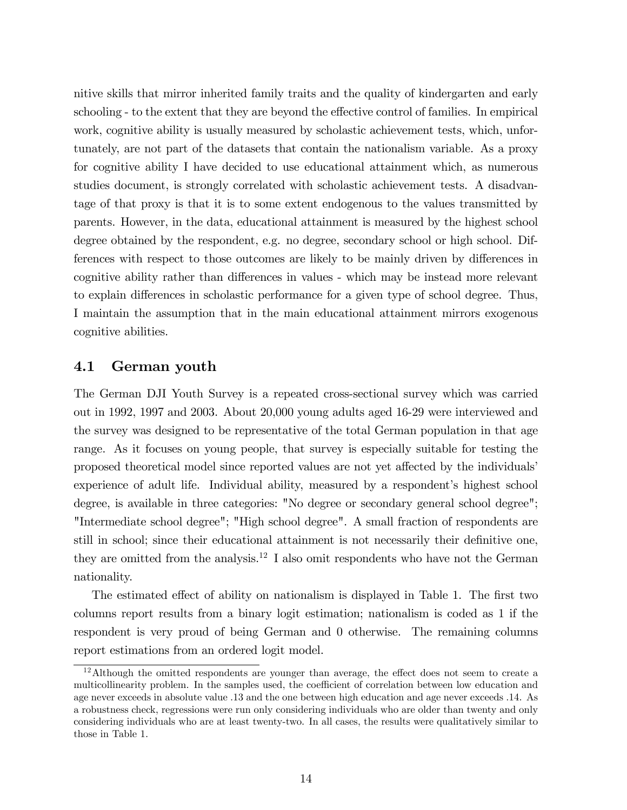nitive skills that mirror inherited family traits and the quality of kindergarten and early schooling - to the extent that they are beyond the effective control of families. In empirical work, cognitive ability is usually measured by scholastic achievement tests, which, unfortunately, are not part of the datasets that contain the nationalism variable. As a proxy for cognitive ability I have decided to use educational attainment which, as numerous studies document, is strongly correlated with scholastic achievement tests. A disadvantage of that proxy is that it is to some extent endogenous to the values transmitted by parents. However, in the data, educational attainment is measured by the highest school degree obtained by the respondent, e.g. no degree, secondary school or high school. Differences with respect to those outcomes are likely to be mainly driven by differences in cognitive ability rather than differences in values - which may be instead more relevant to explain differences in scholastic performance for a given type of school degree. Thus, I maintain the assumption that in the main educational attainment mirrors exogenous cognitive abilities.

### 4.1 German youth

The German DJI Youth Survey is a repeated cross-sectional survey which was carried out in 1992, 1997 and 2003. About 20,000 young adults aged 16-29 were interviewed and the survey was designed to be representative of the total German population in that age range. As it focuses on young people, that survey is especially suitable for testing the proposed theoretical model since reported values are not yet affected by the individuals' experience of adult life. Individual ability, measured by a respondent's highest school degree, is available in three categories: "No degree or secondary general school degree"; "Intermediate school degree"; "High school degree". A small fraction of respondents are still in school; since their educational attainment is not necessarily their definitive one, they are omitted from the analysis.<sup>12</sup> I also omit respondents who have not the German nationality.

The estimated effect of ability on nationalism is displayed in Table 1. The first two columns report results from a binary logit estimation; nationalism is coded as 1 if the respondent is very proud of being German and 0 otherwise. The remaining columns report estimations from an ordered logit model.

 $12$ Although the omitted respondents are younger than average, the effect does not seem to create a multicollinearity problem. In the samples used, the coefficient of correlation between low education and age never exceeds in absolute value .13 and the one between high education and age never exceeds .14. As a robustness check, regressions were run only considering individuals who are older than twenty and only considering individuals who are at least twenty-two. In all cases, the results were qualitatively similar to those in Table 1.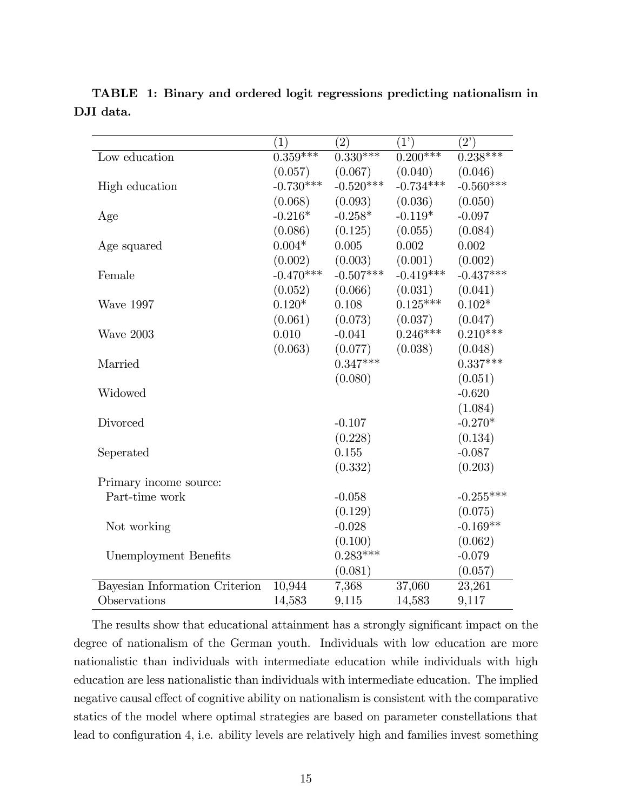|                                | (1)         | (2)         | $\overline{(1)}$ | (2)         |
|--------------------------------|-------------|-------------|------------------|-------------|
| Low education                  | $0.359***$  | $0.330***$  | $0.200***$       | $0.238***$  |
|                                | (0.057)     | (0.067)     | (0.040)          | (0.046)     |
| High education                 | $-0.730***$ | $-0.520***$ | $-0.734***$      | $-0.560***$ |
|                                | (0.068)     | (0.093)     | (0.036)          | (0.050)     |
| Age                            | $-0.216*$   | $-0.258*$   | $-0.119*$        | $-0.097$    |
|                                | (0.086)     | (0.125)     | (0.055)          | (0.084)     |
| Age squared                    | $0.004*$    | 0.005       | 0.002            | 0.002       |
|                                | (0.002)     | (0.003)     | (0.001)          | (0.002)     |
| Female                         | $-0.470***$ | $-0.507***$ | $-0.419***$      | $-0.437***$ |
|                                | (0.052)     | (0.066)     | (0.031)          | (0.041)     |
| Wave 1997                      | $0.120*$    | 0.108       | $0.125***$       | $0.102*$    |
|                                | (0.061)     | (0.073)     | (0.037)          | (0.047)     |
| Wave 2003                      | 0.010       | $-0.041$    | $0.246***$       | $0.210***$  |
|                                | (0.063)     | (0.077)     | (0.038)          | (0.048)     |
| Married                        |             | $0.347***$  |                  | $0.337***$  |
|                                |             | (0.080)     |                  | (0.051)     |
| Widowed                        |             |             |                  | $-0.620$    |
|                                |             |             |                  | (1.084)     |
| Divorced                       |             | $-0.107$    |                  | $-0.270*$   |
|                                |             | (0.228)     |                  | (0.134)     |
| Seperated                      |             | 0.155       |                  | $-0.087$    |
|                                |             | (0.332)     |                  | (0.203)     |
| Primary income source:         |             |             |                  |             |
| Part-time work                 |             | $-0.058$    |                  | $-0.255***$ |
|                                |             | (0.129)     |                  | (0.075)     |
| Not working                    |             | $-0.028$    |                  | $-0.169**$  |
|                                |             | (0.100)     |                  | (0.062)     |
| Unemployment Benefits          |             | $0.283***$  |                  | $-0.079$    |
|                                |             | (0.081)     |                  | (0.057)     |
| Bayesian Information Criterion | 10,944      | 7,368       | 37,060           | 23,261      |
| Observations                   | 14,583      | 9,115       | 14,583           | 9,117       |

TABLE 1: Binary and ordered logit regressions predicting nationalism in DJI data.

The results show that educational attainment has a strongly significant impact on the degree of nationalism of the German youth. Individuals with low education are more nationalistic than individuals with intermediate education while individuals with high education are less nationalistic than individuals with intermediate education. The implied negative causal effect of cognitive ability on nationalism is consistent with the comparative statics of the model where optimal strategies are based on parameter constellations that lead to configuration 4, i.e. ability levels are relatively high and families invest something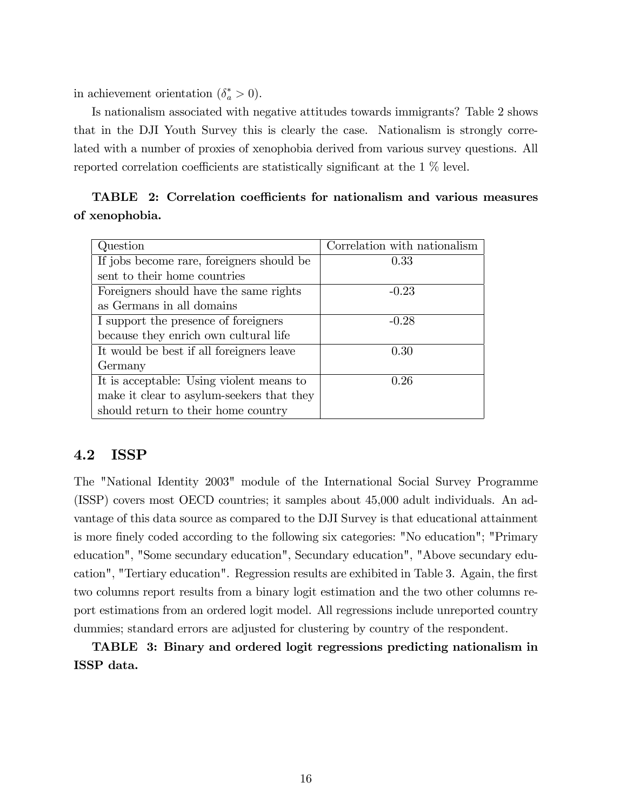in achievement orientation  $(\delta_a^* > 0)$ .

Is nationalism associated with negative attitudes towards immigrants? Table 2 shows that in the DJI Youth Survey this is clearly the case. Nationalism is strongly correlated with a number of proxies of xenophobia derived from various survey questions. All reported correlation coefficients are statistically significant at the  $1\%$  level.

| Question                                  | Correlation with nationalism |
|-------------------------------------------|------------------------------|
| If jobs become rare, foreigners should be | 0.33                         |
| sent to their home countries              |                              |
| Foreigners should have the same rights    | $-0.23$                      |
| as Germans in all domains                 |                              |
| I support the presence of foreigners      | $-0.28$                      |
| because they enrich own cultural life     |                              |
| It would be best if all foreigners leave  | 0.30                         |
| Germany                                   |                              |
| It is acceptable: Using violent means to  | 0.26                         |
| make it clear to asylum-seekers that they |                              |
| should return to their home country       |                              |

TABLE 2: Correlation coefficients for nationalism and various measures of xenophobia.

## 4.2 ISSP

The "National Identity 2003" module of the International Social Survey Programme (ISSP) covers most OECD countries; it samples about 45,000 adult individuals. An advantage of this data source as compared to the DJI Survey is that educational attainment is more finely coded according to the following six categories: "No education"; "Primary education", "Some secundary education", Secundary education", "Above secundary education", "Tertiary education". Regression results are exhibited in Table 3. Again, the first two columns report results from a binary logit estimation and the two other columns report estimations from an ordered logit model. All regressions include unreported country dummies; standard errors are adjusted for clustering by country of the respondent.

TABLE 3: Binary and ordered logit regressions predicting nationalism in ISSP data.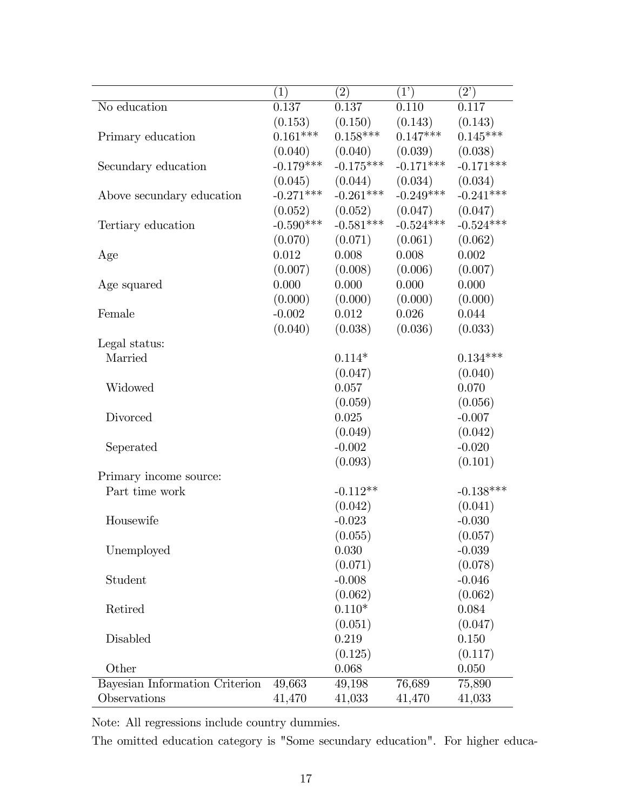|                                | (1)         | $\left( 2\right)$ | (1)         | (2)         |
|--------------------------------|-------------|-------------------|-------------|-------------|
| No education                   | 0.137       | 0.137             | 0.110       | 0.117       |
|                                | (0.153)     | (0.150)           | (0.143)     | (0.143)     |
| Primary education              | $0.161***$  | $0.158***$        | $0.147***$  | $0.145***$  |
|                                | (0.040)     | (0.040)           | (0.039)     | (0.038)     |
| Secundary education            | $-0.179***$ | $-0.175***$       | $-0.171***$ | $-0.171***$ |
|                                | (0.045)     | (0.044)           | (0.034)     | (0.034)     |
| Above secundary education      | $-0.271***$ | $-0.261***$       | $-0.249***$ | $-0.241***$ |
|                                | (0.052)     | (0.052)           | (0.047)     | (0.047)     |
| Tertiary education             | $-0.590***$ | $-0.581***$       | $-0.524***$ | $-0.524***$ |
|                                | (0.070)     | (0.071)           | (0.061)     | (0.062)     |
| Age                            | 0.012       | 0.008             | 0.008       | 0.002       |
|                                | (0.007)     | (0.008)           | (0.006)     | (0.007)     |
| Age squared                    | 0.000       | 0.000             | 0.000       | 0.000       |
|                                | (0.000)     | (0.000)           | (0.000)     | (0.000)     |
| Female                         | $-0.002$    | 0.012             | 0.026       | 0.044       |
|                                | (0.040)     | (0.038)           | (0.036)     | (0.033)     |
| Legal status:                  |             |                   |             |             |
| Married                        |             | $0.114*$          |             | $0.134***$  |
|                                |             | (0.047)           |             | (0.040)     |
| Widowed                        |             | 0.057             |             | 0.070       |
|                                |             | (0.059)           |             | (0.056)     |
| Divorced                       |             | 0.025             |             | $-0.007$    |
|                                |             | (0.049)           |             | (0.042)     |
| Seperated                      |             | $-0.002$          |             | $-0.020$    |
|                                |             | (0.093)           |             | (0.101)     |
| Primary income source:         |             |                   |             |             |
| Part time work                 |             | $-0.112**$        |             | $-0.138***$ |
|                                |             | (0.042)           |             | (0.041)     |
| Housewife                      |             | $-0.023$          |             | $-0.030$    |
|                                |             | (0.055)           |             | (0.057)     |
| Unemployed                     |             | 0.030             |             | $-0.039$    |
|                                |             | (0.071)           |             | (0.078)     |
| Student                        |             | $-0.008$          |             | $-0.046$    |
|                                |             | (0.062)           |             | (0.062)     |
| Retired                        |             | $0.110*$          |             | 0.084       |
|                                |             | (0.051)           |             | (0.047)     |
| Disabled                       |             | 0.219             |             | 0.150       |
|                                |             | (0.125)           |             | (0.117)     |
| Other                          |             | 0.068             |             | 0.050       |
| Bayesian Information Criterion | 49,663      | 49,198            | 76,689      | 75,890      |
| Observations                   | 41,470      | 41,033            | 41,470      | 41,033      |

Note: All regressions include country dummies.

The omitted education category is "Some secundary education". For higher educa-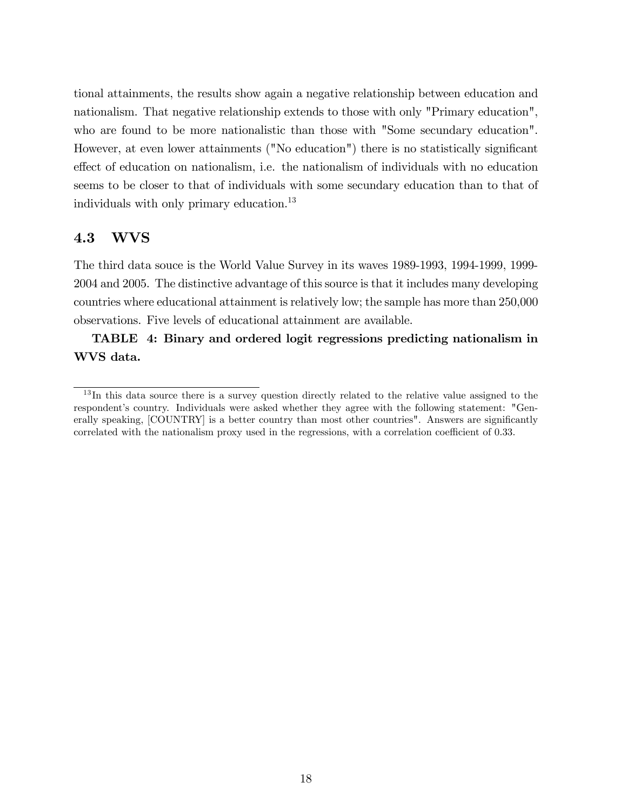tional attainments, the results show again a negative relationship between education and nationalism. That negative relationship extends to those with only "Primary education", who are found to be more nationalistic than those with "Some secundary education". However, at even lower attainments ("No education") there is no statistically significant effect of education on nationalism, i.e. the nationalism of individuals with no education seems to be closer to that of individuals with some secundary education than to that of individuals with only primary education.<sup>13</sup>

## 4.3 WVS

The third data souce is the World Value Survey in its waves 1989-1993, 1994-1999, 1999- 2004 and 2005. The distinctive advantage of this source is that it includes many developing countries where educational attainment is relatively low; the sample has more than 250,000 observations. Five levels of educational attainment are available.

TABLE 4: Binary and ordered logit regressions predicting nationalism in WVS data.

<sup>&</sup>lt;sup>13</sup>In this data source there is a survey question directly related to the relative value assigned to the respondent's country. Individuals were asked whether they agree with the following statement: "Generally speaking, [COUNTRY] is a better country than most other countries". Answers are significantly correlated with the nationalism proxy used in the regressions, with a correlation coefficient of 0.33.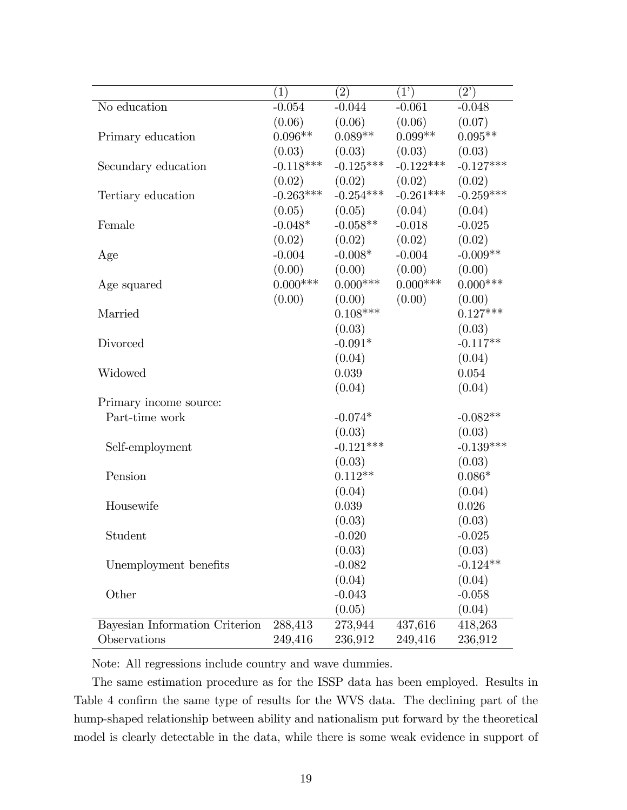|                                | (1)         | (2)         | (1')        | (2)         |
|--------------------------------|-------------|-------------|-------------|-------------|
| No education                   | $-0.054$    | $-0.044$    | $-0.061$    | $-0.048$    |
|                                | (0.06)      | (0.06)      | (0.06)      | (0.07)      |
| Primary education              | $0.096**$   | $0.089**$   | $0.099**$   | $0.095**$   |
|                                | (0.03)      | (0.03)      | (0.03)      | (0.03)      |
| Secundary education            | $-0.118***$ | $-0.125***$ | $-0.122***$ | $-0.127***$ |
|                                | (0.02)      | (0.02)      | (0.02)      | (0.02)      |
| Tertiary education             | $-0.263***$ | $-0.254***$ | $-0.261***$ | $-0.259***$ |
|                                | (0.05)      | (0.05)      | (0.04)      | (0.04)      |
| Female                         | $-0.048*$   | $-0.058**$  | $-0.018$    | $-0.025$    |
|                                | (0.02)      | (0.02)      | (0.02)      | (0.02)      |
| Age                            | $-0.004$    | $-0.008*$   | $-0.004$    | $-0.009**$  |
|                                | (0.00)      | (0.00)      | (0.00)      | (0.00)      |
| Age squared                    | $0.000***$  | $0.000***$  | $0.000***$  | $0.000***$  |
|                                | (0.00)      | (0.00)      | (0.00)      | (0.00)      |
| Married                        |             | $0.108***$  |             | $0.127***$  |
|                                |             | (0.03)      |             | (0.03)      |
| Divorced                       |             | $-0.091*$   |             | $-0.117**$  |
|                                |             | (0.04)      |             | (0.04)      |
| Widowed                        |             | 0.039       |             | 0.054       |
|                                |             | (0.04)      |             | (0.04)      |
| Primary income source:         |             |             |             |             |
| Part-time work                 |             | $-0.074*$   |             | $-0.082**$  |
|                                |             | (0.03)      |             | (0.03)      |
| Self-employment                |             | $-0.121***$ |             | $-0.139***$ |
|                                |             | (0.03)      |             | (0.03)      |
| Pension                        |             | $0.112**$   |             | $0.086*$    |
|                                |             | (0.04)      |             | (0.04)      |
| Housewife                      |             | 0.039       |             | 0.026       |
|                                |             | (0.03)      |             | (0.03)      |
| Student                        |             | $-0.020$    |             | $-0.025$    |
|                                |             | (0.03)      |             | (0.03)      |
| Unemployment benefits          |             | $-0.082$    |             | $-0.124**$  |
|                                |             | (0.04)      |             | (0.04)      |
| Other                          |             | $-0.043$    |             | $-0.058$    |
|                                |             | (0.05)      |             | (0.04)      |
| Bayesian Information Criterion | 288,413     | 273,944     | 437,616     | 418,263     |
| Observations                   | 249,416     | 236,912     | 249,416     | 236,912     |

Note: All regressions include country and wave dummies.

The same estimation procedure as for the ISSP data has been employed. Results in Table 4 confirm the same type of results for the WVS data. The declining part of the hump-shaped relationship between ability and nationalism put forward by the theoretical model is clearly detectable in the data, while there is some weak evidence in support of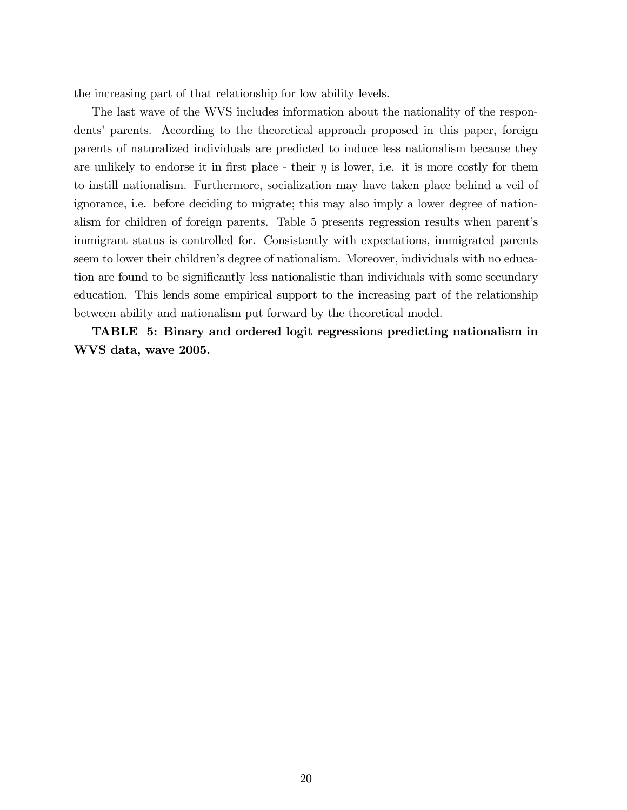the increasing part of that relationship for low ability levels.

The last wave of the WVS includes information about the nationality of the respondentsí parents. According to the theoretical approach proposed in this paper, foreign parents of naturalized individuals are predicted to induce less nationalism because they are unlikely to endorse it in first place - their  $\eta$  is lower, i.e. it is more costly for them to instill nationalism. Furthermore, socialization may have taken place behind a veil of ignorance, i.e. before deciding to migrate; this may also imply a lower degree of nationalism for children of foreign parents. Table 5 presents regression results when parent's immigrant status is controlled for. Consistently with expectations, immigrated parents seem to lower their children's degree of nationalism. Moreover, individuals with no education are found to be significantly less nationalistic than individuals with some secundary education. This lends some empirical support to the increasing part of the relationship between ability and nationalism put forward by the theoretical model.

TABLE 5: Binary and ordered logit regressions predicting nationalism in WVS data, wave 2005.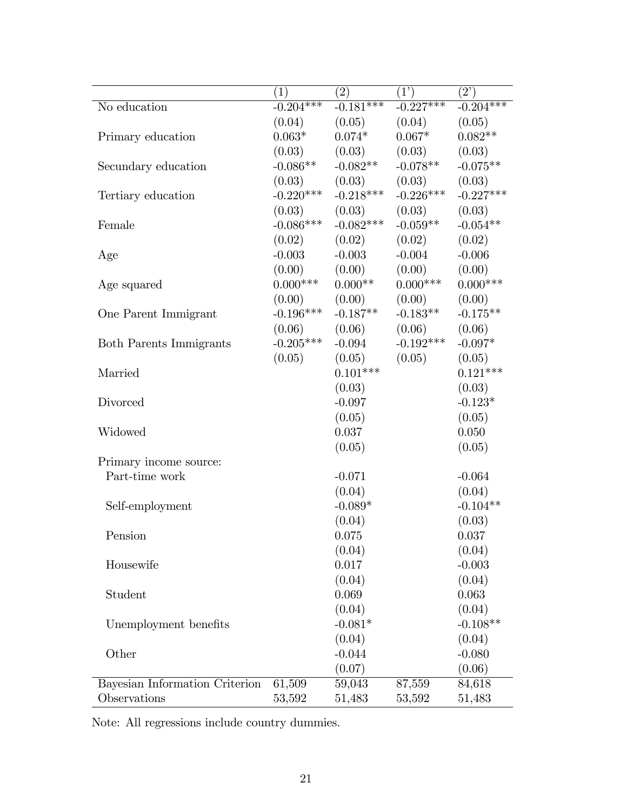|                                | (1)         | $\left( 2\right)$ | (1)         | $(2^{\prime})$ |
|--------------------------------|-------------|-------------------|-------------|----------------|
| No education                   | $-0.204***$ | $-0.181***$       | $-0.227***$ | $-0.204***$    |
|                                | (0.04)      | (0.05)            | (0.04)      | (0.05)         |
| Primary education              | $0.063*$    | $0.074*$          | $0.067*$    | $0.082**$      |
|                                | (0.03)      | (0.03)            | (0.03)      | (0.03)         |
| Secundary education            | $-0.086**$  | $-0.082**$        | $-0.078**$  | $-0.075**$     |
|                                | (0.03)      | (0.03)            | (0.03)      | (0.03)         |
| Tertiary education             | $-0.220***$ | $-0.218***$       | $-0.226***$ | $-0.227***$    |
|                                | (0.03)      | (0.03)            | (0.03)      | (0.03)         |
| Female                         | $-0.086***$ | $-0.082***$       | $-0.059**$  | $-0.054**$     |
|                                | (0.02)      | (0.02)            | (0.02)      | (0.02)         |
| Age                            | $-0.003$    | $-0.003$          | $-0.004$    | $-0.006$       |
|                                | (0.00)      | (0.00)            | (0.00)      | (0.00)         |
| Age squared                    | $0.000***$  | $0.000**$         | $0.000***$  | $0.000***$     |
|                                | (0.00)      | (0.00)            | (0.00)      | (0.00)         |
| One Parent Immigrant           | $-0.196***$ | $-0.187**$        | $-0.183**$  | $-0.175**$     |
|                                | (0.06)      | (0.06)            | (0.06)      | (0.06)         |
| <b>Both Parents Immigrants</b> | $-0.205***$ | $-0.094$          | $-0.192***$ | $-0.097*$      |
|                                | (0.05)      | (0.05)            | (0.05)      | (0.05)         |
| Married                        |             | $0.101***$        |             | $0.121***$     |
|                                |             | (0.03)            |             | (0.03)         |
| Divorced                       |             | $-0.097$          |             | $-0.123*$      |
|                                |             | (0.05)            |             | (0.05)         |
| Widowed                        |             | 0.037             |             | 0.050          |
|                                |             | (0.05)            |             | (0.05)         |
| Primary income source:         |             |                   |             |                |
| Part-time work                 |             | $-0.071$          |             | $-0.064$       |
|                                |             | (0.04)            |             | (0.04)         |
| Self-employment                |             | $-0.089*$         |             | $-0.104**$     |
|                                |             | (0.04)            |             | (0.03)         |
| Pension                        |             | 0.075             |             | 0.037          |
|                                |             | (0.04)            |             | (0.04)         |
| Housewife                      |             | 0.017             |             | $-0.003$       |
|                                |             | (0.04)            |             | (0.04)         |
| Student                        |             | 0.069             |             | 0.063          |
|                                |             | (0.04)            |             | (0.04)         |
| Unemployment benefits          |             | $-0.081*$         |             | $-0.108**$     |
|                                |             | (0.04)            |             | (0.04)         |
| Other                          |             | $-0.044$          |             | $-0.080$       |
|                                |             | (0.07)            |             | (0.06)         |
| Bayesian Information Criterion | 61,509      | 59,043            | 87,559      | 84,618         |
| Observations                   | 53,592      | 51,483            | 53,592      | 51,483         |

Note: All regressions include country dummies.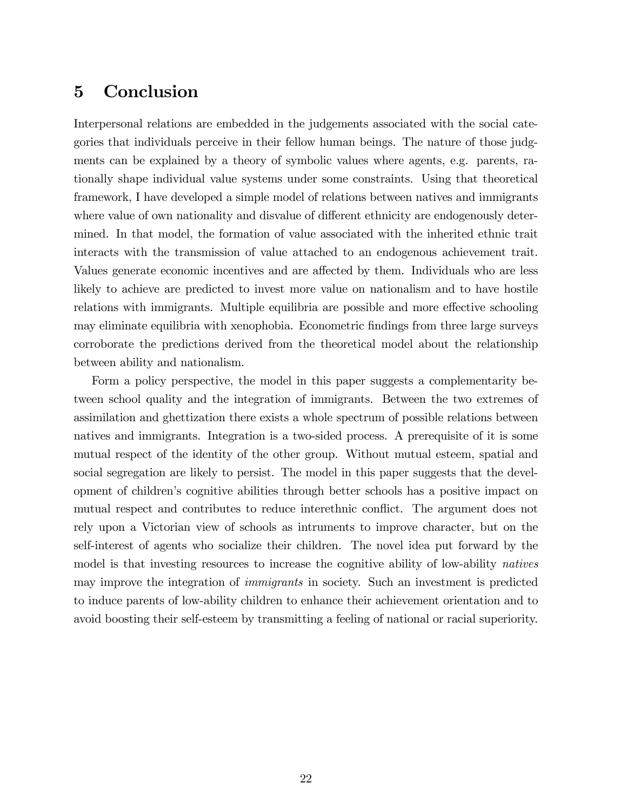# 5 Conclusion

Interpersonal relations are embedded in the judgements associated with the social categories that individuals perceive in their fellow human beings. The nature of those judgments can be explained by a theory of symbolic values where agents, e.g. parents, rationally shape individual value systems under some constraints. Using that theoretical framework, I have developed a simple model of relations between natives and immigrants where value of own nationality and disvalue of different ethnicity are endogenously determined. In that model, the formation of value associated with the inherited ethnic trait interacts with the transmission of value attached to an endogenous achievement trait. Values generate economic incentives and are affected by them. Individuals who are less likely to achieve are predicted to invest more value on nationalism and to have hostile relations with immigrants. Multiple equilibria are possible and more effective schooling may eliminate equilibria with xenophobia. Econometric findings from three large surveys corroborate the predictions derived from the theoretical model about the relationship between ability and nationalism.

Form a policy perspective, the model in this paper suggests a complementarity between school quality and the integration of immigrants. Between the two extremes of assimilation and ghettization there exists a whole spectrum of possible relations between natives and immigrants. Integration is a two-sided process. A prerequisite of it is some mutual respect of the identity of the other group. Without mutual esteem, spatial and social segregation are likely to persist. The model in this paper suggests that the development of childrenís cognitive abilities through better schools has a positive impact on mutual respect and contributes to reduce interethnic conflict. The argument does not rely upon a Victorian view of schools as intruments to improve character, but on the self-interest of agents who socialize their children. The novel idea put forward by the model is that investing resources to increase the cognitive ability of low-ability natives may improve the integration of immigrants in society. Such an investment is predicted to induce parents of low-ability children to enhance their achievement orientation and to avoid boosting their self-esteem by transmitting a feeling of national or racial superiority.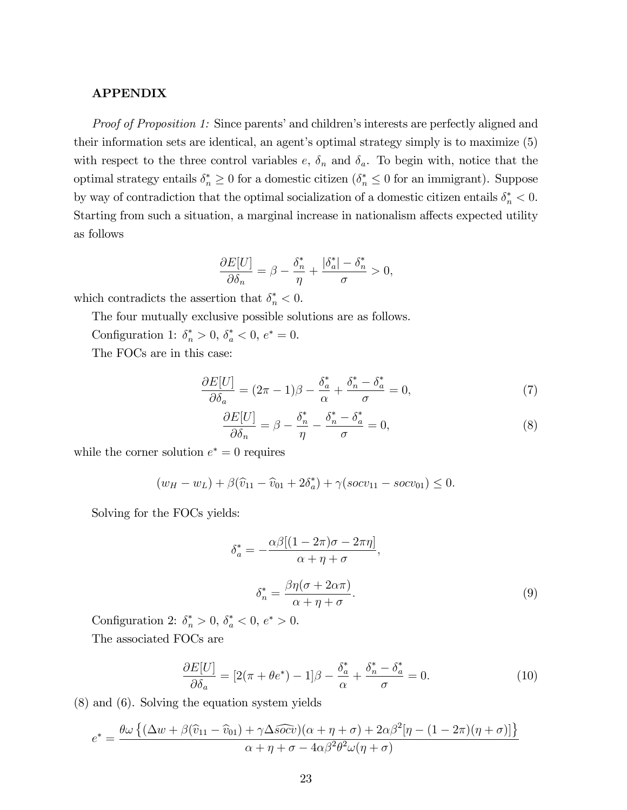#### APPENDIX

*Proof of Proposition 1:* Since parents' and children's interests are perfectly aligned and their information sets are identical, an agent's optimal strategy simply is to maximize  $(5)$ with respect to the three control variables  $e, \delta_n$  and  $\delta_a$ . To begin with, notice that the optimal strategy entails  $\delta_n^* \geq 0$  for a domestic citizen  $(\delta_n^* \leq 0$  for an immigrant). Suppose by way of contradiction that the optimal socialization of a domestic citizen entails  $\delta_n^* < 0$ . Starting from such a situation, a marginal increase in nationalism affects expected utility as follows

$$
\frac{\partial E[U]}{\partial \delta_n} = \beta - \frac{\delta_n^*}{\eta} + \frac{|\delta_a^*| - \delta_n^*}{\sigma} > 0,
$$

which contradicts the assertion that  $\delta_n^* < 0$ .

The four mutually exclusive possible solutions are as follows.

Configuration 1:  $\delta_n^* > 0$ ,  $\delta_a^* < 0$ ,  $e^* = 0$ .

The FOCs are in this case:

$$
\frac{\partial E[U]}{\partial \delta_a} = (2\pi - 1)\beta - \frac{\delta_a^*}{\alpha} + \frac{\delta_n^* - \delta_a^*}{\sigma} = 0,\tag{7}
$$

$$
\frac{\partial E[U]}{\partial \delta_n} = \beta - \frac{\delta_n^*}{\eta} - \frac{\delta_n^* - \delta_a^*}{\sigma} = 0,\tag{8}
$$

while the corner solution  $e^* = 0$  requires

$$
(w_H - w_L) + \beta(\hat{v}_{11} - \hat{v}_{01} + 2\delta_a^*) + \gamma(socv_{11} - socv_{01}) \le 0.
$$

Solving for the FOCs yields:

$$
\delta_a^* = -\frac{\alpha \beta [(1 - 2\pi)\sigma - 2\pi \eta]}{\alpha + \eta + \sigma},
$$

$$
\delta_n^* = \frac{\beta \eta (\sigma + 2\alpha \pi)}{\alpha + \eta + \sigma}.
$$
(9)

Configuration 2:  $\delta_n^* > 0$ ,  $\delta_a^* < 0$ ,  $e^* > 0$ .

The associated FOCs are

$$
\frac{\partial E[U]}{\partial \delta_a} = [2(\pi + \theta e^*) - 1]\beta - \frac{\delta_a^*}{\alpha} + \frac{\delta_n^* - \delta_a^*}{\sigma} = 0.
$$
\n(10)

(8) and (6). Solving the equation system yields

$$
e^* = \frac{\theta \omega \left\{ (\Delta w + \beta(\hat{v}_{11} - \hat{v}_{01}) + \gamma \Delta \widehat{soc} v)(\alpha + \eta + \sigma) + 2\alpha \beta^2 [\eta - (1 - 2\pi)(\eta + \sigma)] \right\}}{\alpha + \eta + \sigma - 4\alpha \beta^2 \theta^2 \omega (\eta + \sigma)}
$$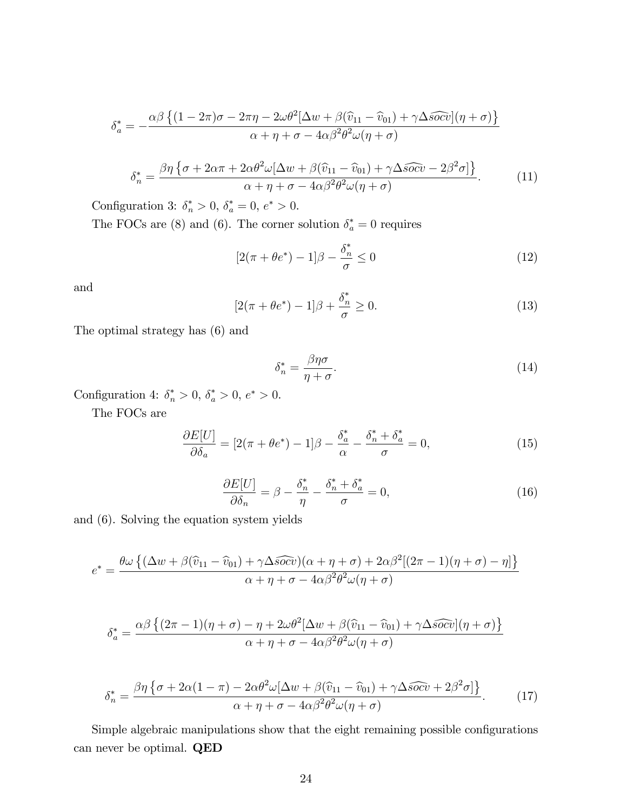$$
\delta_a^* = -\frac{\alpha\beta \left\{ (1 - 2\pi)\sigma - 2\pi\eta - 2\omega\theta^2 [\Delta w + \beta(\hat{v}_{11} - \hat{v}_{01}) + \gamma \Delta \widehat{soc}](\eta + \sigma) \right\}}{\alpha + \eta + \sigma - 4\alpha\beta^2 \theta^2 \omega(\eta + \sigma)}
$$

$$
\delta_n^* = \frac{\beta \eta \left\{ \sigma + 2\alpha \pi + 2\alpha \theta^2 \omega [\Delta w + \beta(\widehat{v}_{11} - \widehat{v}_{01}) + \gamma \Delta \widehat{soc} - 2\beta^2 \sigma] \right\}}{\alpha + \eta + \sigma - 4\alpha \beta^2 \theta^2 \omega (\eta + \sigma)}.
$$
(11)

Configuration 3:  $\delta_n^* > 0$ ,  $\delta_a^* = 0$ ,  $e^* > 0$ .

The FOCs are (8) and (6). The corner solution  $\delta_a^* = 0$  requires

$$
[2(\pi + \theta e^*) - 1]\beta - \frac{\delta_n^*}{\sigma} \le 0
$$
\n(12)

and

$$
[2(\pi + \theta e^*) - 1]\beta + \frac{\delta_n^*}{\sigma} \ge 0.
$$
\n(13)

The optimal strategy has (6) and

$$
\delta_n^* = \frac{\beta \eta \sigma}{\eta + \sigma}.\tag{14}
$$

Configuration 4:  $\delta_n^* > 0$ ,  $\delta_a^* > 0$ ,  $e^* > 0$ .

The FOCs are

$$
\frac{\partial E[U]}{\partial \delta_a} = [2(\pi + \theta e^*) - 1]\beta - \frac{\delta_a^*}{\alpha} - \frac{\delta_n^* + \delta_a^*}{\sigma} = 0,\tag{15}
$$

$$
\frac{\partial E[U]}{\partial \delta_n} = \beta - \frac{\delta_n^*}{\eta} - \frac{\delta_n^* + \delta_a^*}{\sigma} = 0,\tag{16}
$$

and (6). Solving the equation system yields

$$
e^* = \frac{\theta \omega \left\{ (\Delta w + \beta(\widehat{v}_{11} - \widehat{v}_{01}) + \gamma \Delta \widehat{soc} \widehat{v})(\alpha + \eta + \sigma) + 2\alpha \beta^2 [(2\pi - 1)(\eta + \sigma) - \eta] \right\}}{\alpha + \eta + \sigma - 4\alpha \beta^2 \theta^2 \omega(\eta + \sigma)}
$$

$$
\delta_a^* = \frac{\alpha \beta \left\{ (2\pi - 1)(\eta + \sigma) - \eta + 2\omega \theta^2 [\Delta w + \beta(\widehat{v}_{11} - \widehat{v}_{01}) + \gamma \Delta s \widehat{ocv}] (\eta + \sigma) \right\}}{\alpha + \eta + \sigma - 4\alpha \beta^2 \theta^2 \omega (\eta + \sigma)}
$$

$$
\delta_n^* = \frac{\beta \eta \left\{ \sigma + 2\alpha (1 - \pi) - 2\alpha \theta^2 \omega [\Delta w + \beta (\widehat{v}_{11} - \widehat{v}_{01}) + \gamma \Delta \widehat{soc} + 2\beta^2 \sigma] \right\}}{\alpha + \eta + \sigma - 4\alpha \beta^2 \theta^2 \omega (\eta + \sigma)}.
$$
 (17)

Simple algebraic manipulations show that the eight remaining possible configurations can never be optimal. QED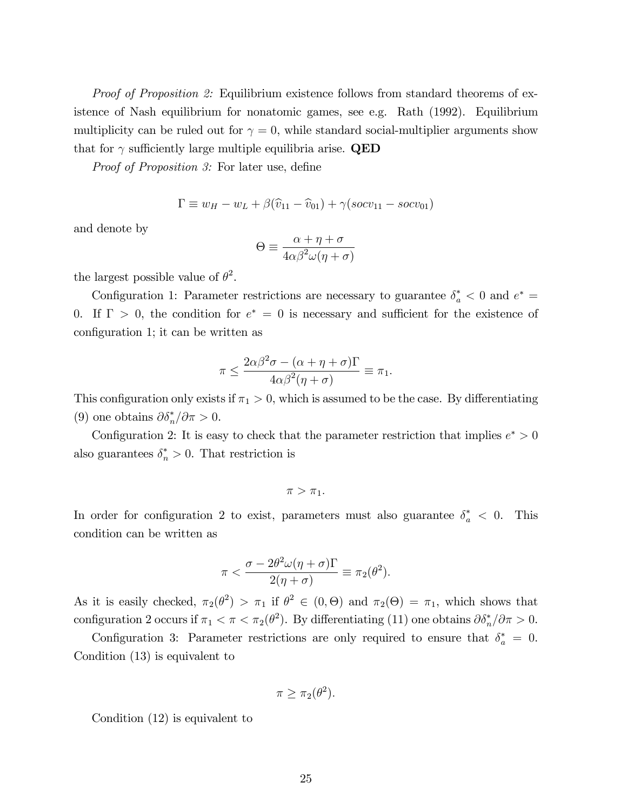*Proof of Proposition 2:* Equilibrium existence follows from standard theorems of existence of Nash equilibrium for nonatomic games, see e.g. Rath (1992). Equilibrium multiplicity can be ruled out for  $\gamma = 0$ , while standard social-multiplier arguments show that for  $\gamma$  sufficiently large multiple equilibria arise. **QED** 

*Proof of Proposition 3:* For later use, define

$$
\Gamma \equiv w_H - w_L + \beta(\widehat{v}_{11} - \widehat{v}_{01}) + \gamma(socv_{11} - socv_{01})
$$

and denote by

$$
\Theta \equiv \frac{\alpha + \eta + \sigma}{4\alpha\beta^2\omega(\eta + \sigma)}
$$

the largest possible value of  $\theta^2$ .

Configuration 1: Parameter restrictions are necessary to guarantee  $\delta_a^* < 0$  and  $e^* =$ 0. If  $\Gamma > 0$ , the condition for  $e^* = 0$  is necessary and sufficient for the existence of configuration 1; it can be written as

$$
\pi \le \frac{2\alpha\beta^2\sigma - (\alpha + \eta + \sigma)\Gamma}{4\alpha\beta^2(\eta + \sigma)} \equiv \pi_1.
$$

This configuration only exists if  $\pi_1 > 0$ , which is assumed to be the case. By differentiating (9) one obtains  $\partial \delta_n^* / \partial \pi > 0$ .

Configuration 2: It is easy to check that the parameter restriction that implies  $e^* > 0$ also guarantees  $\delta_n^* > 0$ . That restriction is

$$
\pi > \pi_1.
$$

In order for configuration 2 to exist, parameters must also guarantee  $\delta_a^* < 0$ . This condition can be written as

$$
\pi < \frac{\sigma - 2\theta^2 \omega(\eta + \sigma) \Gamma}{2(\eta + \sigma)} \equiv \pi_2(\theta^2).
$$

As it is easily checked,  $\pi_2(\theta^2) > \pi_1$  if  $\theta^2 \in (0, \Theta)$  and  $\pi_2(\Theta) = \pi_1$ , which shows that configuration 2 occurs if  $\pi_1 < \pi < \pi_2(\theta^2)$ . By differentiating (11) one obtains  $\partial \delta_n^* / \partial \pi > 0$ .

Configuration 3: Parameter restrictions are only required to ensure that  $\delta_a^* = 0$ . Condition (13) is equivalent to

$$
\pi \geq \pi_2(\theta^2).
$$

Condition (12) is equivalent to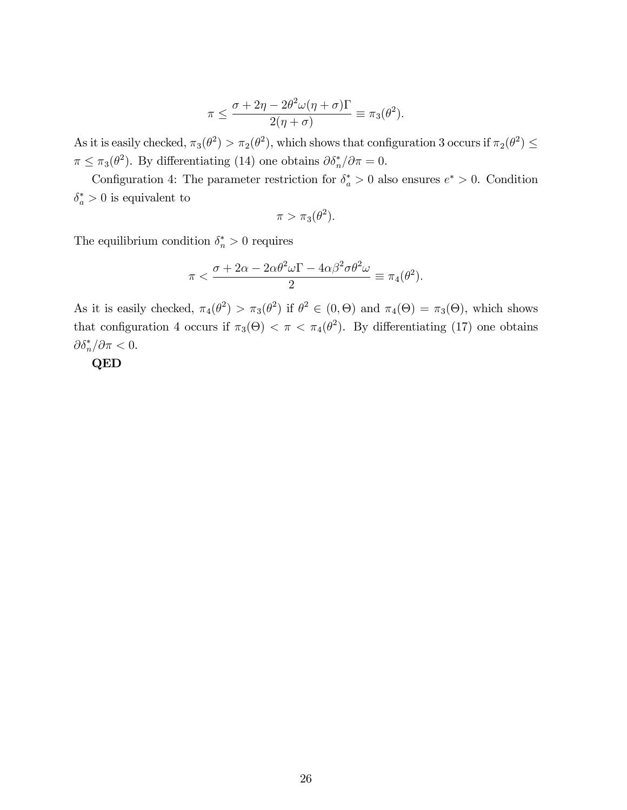$$
\pi \le \frac{\sigma + 2\eta - 2\theta^2 \omega(\eta + \sigma) \Gamma}{2(\eta + \sigma)} \equiv \pi_3(\theta^2).
$$

As it is easily checked,  $\pi_3(\theta^2) > \pi_2(\theta^2)$ , which shows that configuration 3 occurs if  $\pi_2(\theta^2) \le$  $\pi \leq \pi_3(\theta^2)$ . By differentiating (14) one obtains  $\partial \delta_n^* / \partial \pi = 0$ .

Configuration 4: The parameter restriction for  $\delta_a^* > 0$  also ensures  $e^* > 0$ . Condition  $\delta_a^* > 0$  is equivalent to

$$
\pi > \pi_3(\theta^2).
$$

The equilibrium condition  $\delta_n^* > 0$  requires

$$
\pi < \frac{\sigma + 2\alpha - 2\alpha\theta^2\omega\Gamma - 4\alpha\beta^2\sigma\theta^2\omega}{2} \equiv \pi_4(\theta^2).
$$

As it is easily checked,  $\pi_4(\theta^2) > \pi_3(\theta^2)$  if  $\theta^2 \in (0, \Theta)$  and  $\pi_4(\Theta) = \pi_3(\Theta)$ , which shows that configuration 4 occurs if  $\pi_3(\Theta) < \pi < \pi_4(\theta^2)$ . By differentiating (17) one obtains  $\partial \delta_n^* / \partial \pi < 0.$ 

QED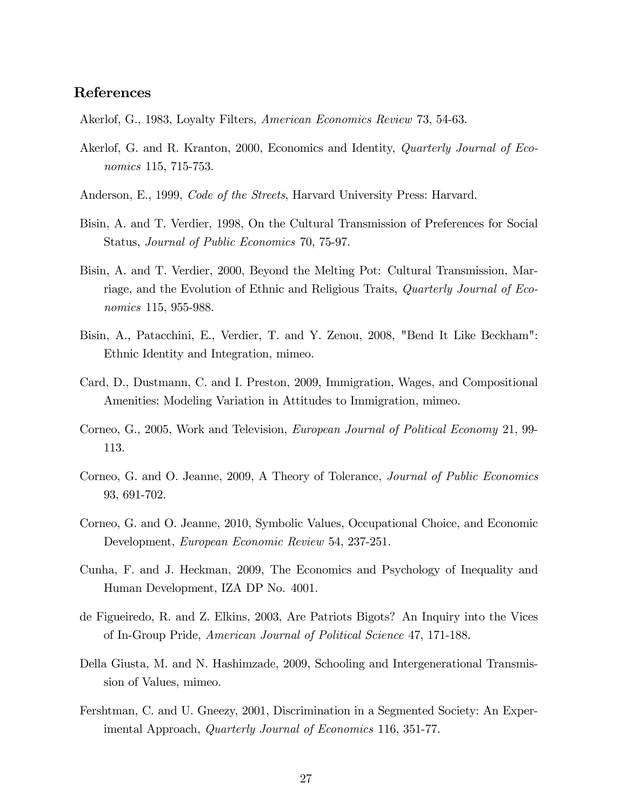### References

- Akerlof, G., 1983, Loyalty Filters, American Economics Review 73, 54-63.
- Akerlof, G. and R. Kranton, 2000, Economics and Identity, Quarterly Journal of Economics 115, 715-753.
- Anderson, E., 1999, Code of the Streets, Harvard University Press: Harvard.
- Bisin, A. and T. Verdier, 1998, On the Cultural Transmission of Preferences for Social Status, Journal of Public Economics 70, 75-97.
- Bisin, A. and T. Verdier, 2000, Beyond the Melting Pot: Cultural Transmission, Marriage, and the Evolution of Ethnic and Religious Traits, Quarterly Journal of Economics 115, 955-988.
- Bisin, A., Patacchini, E., Verdier, T. and Y. Zenou, 2008, "Bend It Like Beckham": Ethnic Identity and Integration, mimeo.
- Card, D., Dustmann, C. and I. Preston, 2009, Immigration, Wages, and Compositional Amenities: Modeling Variation in Attitudes to Immigration, mimeo.
- Corneo, G., 2005, Work and Television, European Journal of Political Economy 21, 99- 113.
- Corneo, G. and O. Jeanne, 2009, A Theory of Tolerance, Journal of Public Economics 93, 691-702.
- Corneo, G. and O. Jeanne, 2010, Symbolic Values, Occupational Choice, and Economic Development, European Economic Review 54, 237-251.
- Cunha, F. and J. Heckman, 2009, The Economics and Psychology of Inequality and Human Development, IZA DP No. 4001.
- de Figueiredo, R. and Z. Elkins, 2003, Are Patriots Bigots? An Inquiry into the Vices of In-Group Pride, American Journal of Political Science 47, 171-188.
- Della Giusta, M. and N. Hashimzade, 2009, Schooling and Intergenerational Transmission of Values, mimeo.
- Fershtman, C. and U. Gneezy, 2001, Discrimination in a Segmented Society: An Experimental Approach, Quarterly Journal of Economics 116, 351-77.